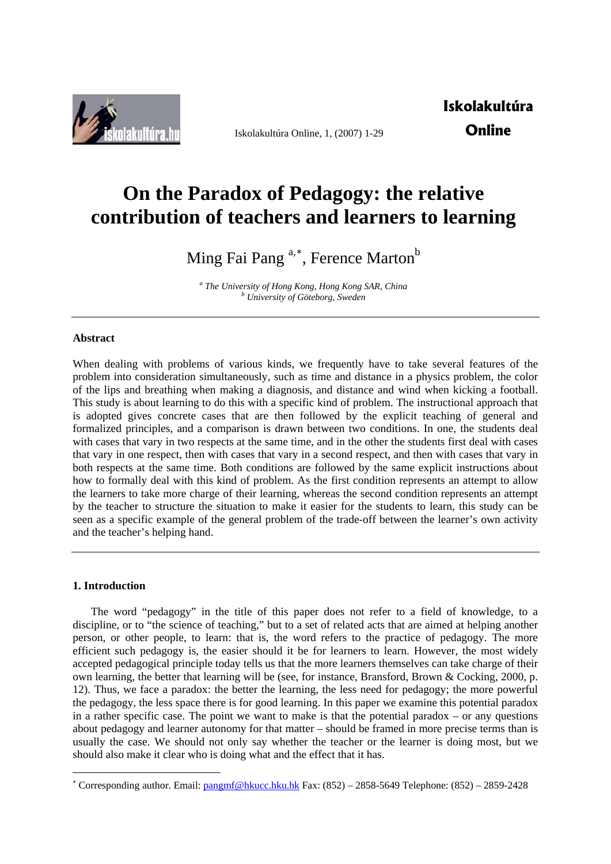

Iskolakultúra Online, 1, (2007) 1-29

# **Iskolakultúra Online**

# **On the Paradox of Pedagogy: the relative contribution of teachers and learners to learning**

Ming Fai Pang <sup>a,[∗](#page-0-0)</sup>, Ference Marton<sup>b</sup>

<sup>a</sup> The University of Hong Kong, Hong Kong SAR, China  *University of Göteborg, Sweden* 

# **Abstract**

When dealing with problems of various kinds, we frequently have to take several features of the problem into consideration simultaneously, such as time and distance in a physics problem, the color of the lips and breathing when making a diagnosis, and distance and wind when kicking a football. This study is about learning to do this with a specific kind of problem. The instructional approach that is adopted gives concrete cases that are then followed by the explicit teaching of general and formalized principles, and a comparison is drawn between two conditions. In one, the students deal with cases that vary in two respects at the same time, and in the other the students first deal with cases that vary in one respect, then with cases that vary in a second respect, and then with cases that vary in both respects at the same time. Both conditions are followed by the same explicit instructions about how to formally deal with this kind of problem. As the first condition represents an attempt to allow the learners to take more charge of their learning, whereas the second condition represents an attempt by the teacher to structure the situation to make it easier for the students to learn, this study can be seen as a specific example of the general problem of the trade-off between the learner's own activity and the teacher's helping hand.

### **1. Introduction**

1

The word "pedagogy" in the title of this paper does not refer to a field of knowledge, to a discipline, or to "the science of teaching," but to a set of related acts that are aimed at helping another person, or other people, to learn: that is, the word refers to the practice of pedagogy. The more efficient such pedagogy is, the easier should it be for learners to learn. However, the most widely accepted pedagogical principle today tells us that the more learners themselves can take charge of their own learning, the better that learning will be (see, for instance, Bransford, Brown & Cocking, 2000, p. 12). Thus, we face a paradox: the better the learning, the less need for pedagogy; the more powerful the pedagogy, the less space there is for good learning. In this paper we examine this potential paradox in a rather specific case. The point we want to make is that the potential paradox – or any questions about pedagogy and learner autonomy for that matter – should be framed in more precise terms than is usually the case. We should not only say whether the teacher or the learner is doing most, but we should also make it clear who is doing what and the effect that it has.

<span id="page-0-0"></span><sup>\*</sup> Corresponding author. Email: [pangmf@hkucc.hku.hk](mailto:pangmf@hkucc.hku.hk) Fax: (852) – 2858-5649 Telephone: (852) – 2859-2428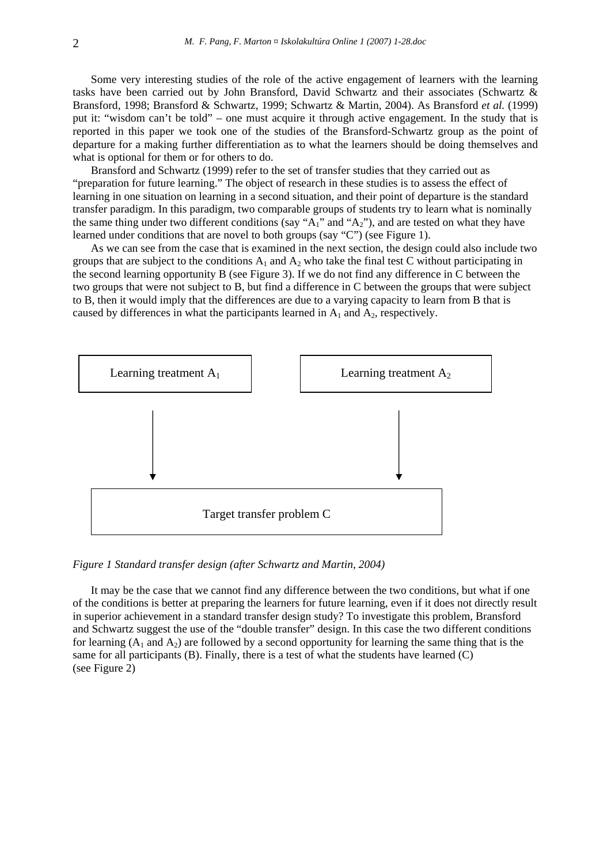Some very interesting studies of the role of the active engagement of learners with the learning tasks have been carried out by John Bransford, David Schwartz and their associates (Schwartz & Bransford, 1998; Bransford & Schwartz, 1999; Schwartz & Martin, 2004). As Bransford *et al.* (1999) put it: "wisdom can't be told" – one must acquire it through active engagement. In the study that is reported in this paper we took one of the studies of the Bransford-Schwartz group as the point of departure for a making further differentiation as to what the learners should be doing themselves and what is optional for them or for others to do.

Bransford and Schwartz (1999) refer to the set of transfer studies that they carried out as "preparation for future learning." The object of research in these studies is to assess the effect of learning in one situation on learning in a second situation, and their point of departure is the standard transfer paradigm. In this paradigm, two comparable groups of students try to learn what is nominally the same thing under two different conditions (say " $A_1$ " and " $A_2$ "), and are tested on what they have learned under conditions that are novel to both groups (say "C") (see Figure 1).

As we can see from the case that is examined in the next section, the design could also include two groups that are subject to the conditions  $A_1$  and  $A_2$  who take the final test C without participating in the second learning opportunity B (see Figure 3). If we do not find any difference in C between the two groups that were not subject to B, but find a difference in C between the groups that were subject to B, then it would imply that the differences are due to a varying capacity to learn from B that is caused by differences in what the participants learned in  $A_1$  and  $A_2$ , respectively.



*Figure 1 Standard transfer design (after Schwartz and Martin, 2004)* 

It may be the case that we cannot find any difference between the two conditions, but what if one of the conditions is better at preparing the learners for future learning, even if it does not directly result in superior achievement in a standard transfer design study? To investigate this problem, Bransford and Schwartz suggest the use of the "double transfer" design. In this case the two different conditions for learning  $(A_1 \text{ and } A_2)$  are followed by a second opportunity for learning the same thing that is the same for all participants (B). Finally, there is a test of what the students have learned (C) (see Figure 2)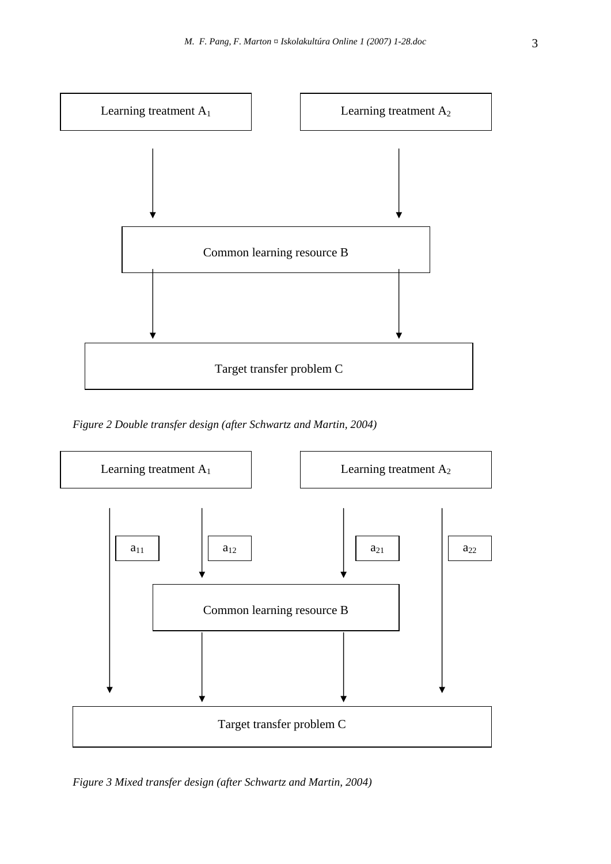

*Figure 2 Double transfer design (after Schwartz and Martin, 2004)* 



*Figure 3 Mixed transfer design (after Schwartz and Martin, 2004)*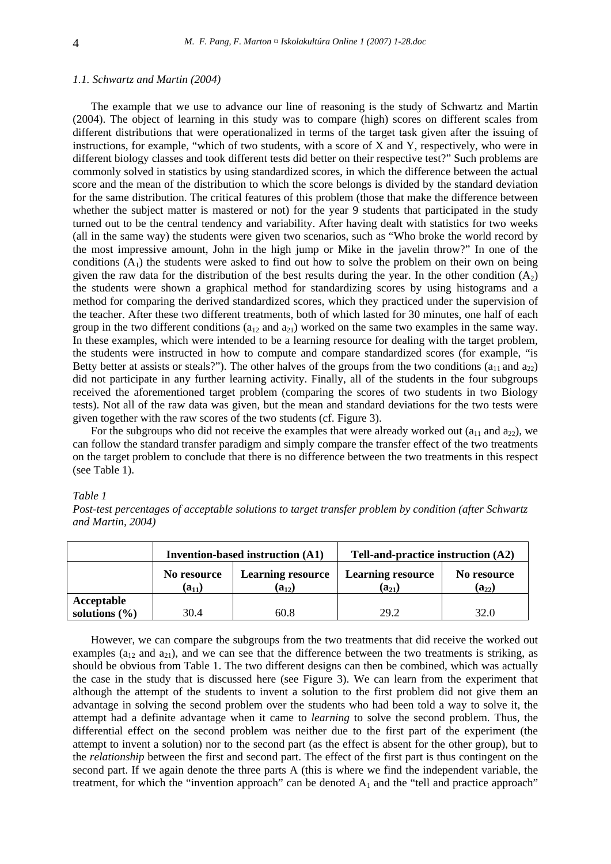#### *1.1. Schwartz and Martin (2004)*

The example that we use to advance our line of reasoning is the study of Schwartz and Martin (2004). The object of learning in this study was to compare (high) scores on different scales from different distributions that were operationalized in terms of the target task given after the issuing of instructions, for example, "which of two students, with a score of X and Y, respectively, who were in different biology classes and took different tests did better on their respective test?" Such problems are commonly solved in statistics by using standardized scores, in which the difference between the actual score and the mean of the distribution to which the score belongs is divided by the standard deviation for the same distribution. The critical features of this problem (those that make the difference between whether the subject matter is mastered or not) for the year 9 students that participated in the study turned out to be the central tendency and variability. After having dealt with statistics for two weeks (all in the same way) the students were given two scenarios, such as "Who broke the world record by the most impressive amount, John in the high jump or Mike in the javelin throw?" In one of the conditions  $(A_1)$  the students were asked to find out how to solve the problem on their own on being given the raw data for the distribution of the best results during the year. In the other condition  $(A_2)$ the students were shown a graphical method for standardizing scores by using histograms and a method for comparing the derived standardized scores, which they practiced under the supervision of the teacher. After these two different treatments, both of which lasted for 30 minutes, one half of each group in the two different conditions ( $a_{12}$  and  $a_{21}$ ) worked on the same two examples in the same way. In these examples, which were intended to be a learning resource for dealing with the target problem, the students were instructed in how to compute and compare standardized scores (for example, "is Betty better at assists or steals?"). The other halves of the groups from the two conditions ( $a_{11}$  and  $a_{22}$ ) did not participate in any further learning activity. Finally, all of the students in the four subgroups received the aforementioned target problem (comparing the scores of two students in two Biology tests). Not all of the raw data was given, but the mean and standard deviations for the two tests were given together with the raw scores of the two students (cf. Figure 3).

For the subgroups who did not receive the examples that were already worked out ( $a_{11}$  and  $a_{22}$ ), we can follow the standard transfer paradigm and simply compare the transfer effect of the two treatments on the target problem to conclude that there is no difference between the two treatments in this respect (see Table 1).

#### *Table 1*

*Post-test percentages of acceptable solutions to target transfer problem by condition (after Schwartz and Martin, 2004)* 

|                   | <b>Invention-based instruction (A1)</b> |                                        | Tell-and-practice instruction (A2)           |                                 |
|-------------------|-----------------------------------------|----------------------------------------|----------------------------------------------|---------------------------------|
|                   | No resource<br>$(a_{11})$               | <b>Learning resource</b><br>$(a_{12})$ | <b>Learning resource</b><br>$({\rm a}_{21})$ | No resource<br>$({\rm a}_{22})$ |
| Acceptable        |                                         |                                        |                                              |                                 |
| solutions $(\% )$ | 30.4                                    | 60.8                                   | 29.2                                         | 32.0                            |

However, we can compare the subgroups from the two treatments that did receive the worked out examples ( $a_{12}$  and  $a_{21}$ ), and we can see that the difference between the two treatments is striking, as should be obvious from Table 1. The two different designs can then be combined, which was actually the case in the study that is discussed here (see Figure 3). We can learn from the experiment that although the attempt of the students to invent a solution to the first problem did not give them an advantage in solving the second problem over the students who had been told a way to solve it, the attempt had a definite advantage when it came to *learning* to solve the second problem. Thus, the differential effect on the second problem was neither due to the first part of the experiment (the attempt to invent a solution) nor to the second part (as the effect is absent for the other group), but to the *relationship* between the first and second part. The effect of the first part is thus contingent on the second part. If we again denote the three parts A (this is where we find the independent variable, the treatment, for which the "invention approach" can be denoted  $A_1$  and the "tell and practice approach"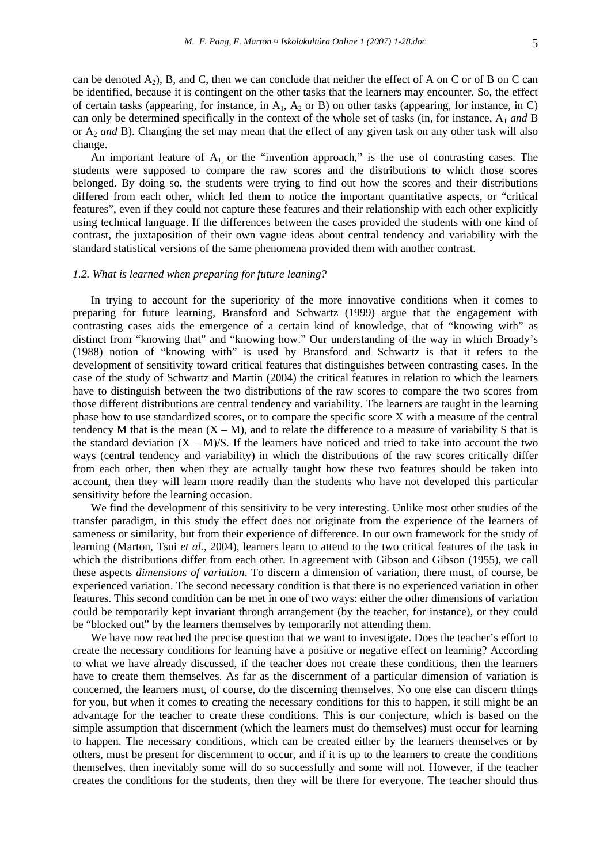can be denoted  $A_2$ ), B, and C, then we can conclude that neither the effect of A on C or of B on C can be identified, because it is contingent on the other tasks that the learners may encounter. So, the effect of certain tasks (appearing, for instance, in  $A_1$ ,  $A_2$  or B) on other tasks (appearing, for instance, in C) can only be determined specifically in the context of the whole set of tasks (in, for instance, A1 *and* B or A2 *and* B). Changing the set may mean that the effect of any given task on any other task will also change.

An important feature of  $A_1$  or the "invention approach," is the use of contrasting cases. The students were supposed to compare the raw scores and the distributions to which those scores belonged. By doing so, the students were trying to find out how the scores and their distributions differed from each other, which led them to notice the important quantitative aspects, or "critical features", even if they could not capture these features and their relationship with each other explicitly using technical language. If the differences between the cases provided the students with one kind of contrast, the juxtaposition of their own vague ideas about central tendency and variability with the standard statistical versions of the same phenomena provided them with another contrast.

# *1.2. What is learned when preparing for future leaning?*

In trying to account for the superiority of the more innovative conditions when it comes to preparing for future learning, Bransford and Schwartz (1999) argue that the engagement with contrasting cases aids the emergence of a certain kind of knowledge, that of "knowing with" as distinct from "knowing that" and "knowing how." Our understanding of the way in which Broady's (1988) notion of "knowing with" is used by Bransford and Schwartz is that it refers to the development of sensitivity toward critical features that distinguishes between contrasting cases. In the case of the study of Schwartz and Martin (2004) the critical features in relation to which the learners have to distinguish between the two distributions of the raw scores to compare the two scores from those different distributions are central tendency and variability. The learners are taught in the learning phase how to use standardized scores, or to compare the specific score X with a measure of the central tendency M that is the mean  $(X - M)$ , and to relate the difference to a measure of variability S that is the standard deviation  $(X - M)/S$ . If the learners have noticed and tried to take into account the two ways (central tendency and variability) in which the distributions of the raw scores critically differ from each other, then when they are actually taught how these two features should be taken into account, then they will learn more readily than the students who have not developed this particular sensitivity before the learning occasion.

We find the development of this sensitivity to be very interesting. Unlike most other studies of the transfer paradigm, in this study the effect does not originate from the experience of the learners of sameness or similarity, but from their experience of difference. In our own framework for the study of learning (Marton, Tsui *et al.*, 2004), learners learn to attend to the two critical features of the task in which the distributions differ from each other. In agreement with Gibson and Gibson (1955), we call these aspects *dimensions of variation*. To discern a dimension of variation, there must, of course, be experienced variation. The second necessary condition is that there is no experienced variation in other features. This second condition can be met in one of two ways: either the other dimensions of variation could be temporarily kept invariant through arrangement (by the teacher, for instance), or they could be "blocked out" by the learners themselves by temporarily not attending them.

We have now reached the precise question that we want to investigate. Does the teacher's effort to create the necessary conditions for learning have a positive or negative effect on learning? According to what we have already discussed, if the teacher does not create these conditions, then the learners have to create them themselves. As far as the discernment of a particular dimension of variation is concerned, the learners must, of course, do the discerning themselves. No one else can discern things for you, but when it comes to creating the necessary conditions for this to happen, it still might be an advantage for the teacher to create these conditions. This is our conjecture, which is based on the simple assumption that discernment (which the learners must do themselves) must occur for learning to happen. The necessary conditions, which can be created either by the learners themselves or by others, must be present for discernment to occur, and if it is up to the learners to create the conditions themselves, then inevitably some will do so successfully and some will not. However, if the teacher creates the conditions for the students, then they will be there for everyone. The teacher should thus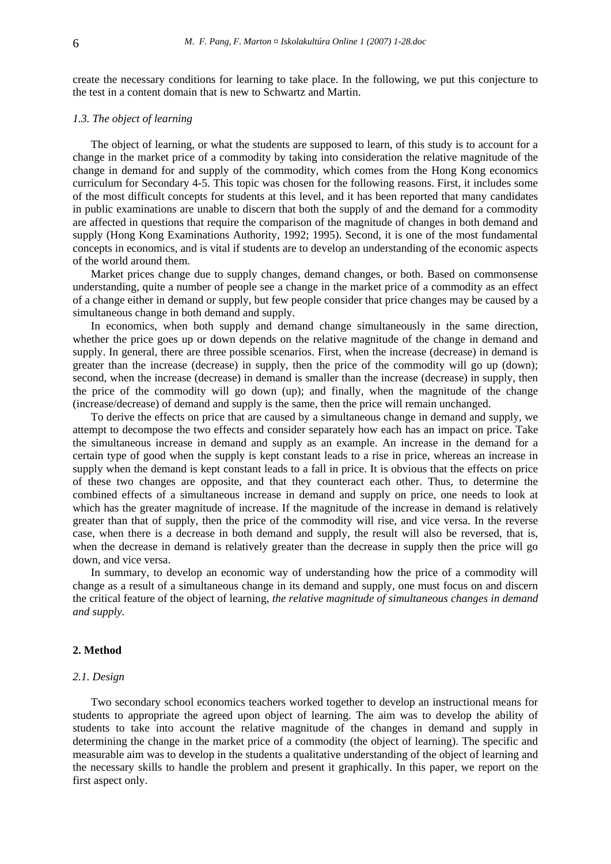create the necessary conditions for learning to take place. In the following, we put this conjecture to the test in a content domain that is new to Schwartz and Martin.

# *1.3. The object of learning*

The object of learning, or what the students are supposed to learn, of this study is to account for a change in the market price of a commodity by taking into consideration the relative magnitude of the change in demand for and supply of the commodity, which comes from the Hong Kong economics curriculum for Secondary 4-5. This topic was chosen for the following reasons. First, it includes some of the most difficult concepts for students at this level, and it has been reported that many candidates in public examinations are unable to discern that both the supply of and the demand for a commodity are affected in questions that require the comparison of the magnitude of changes in both demand and supply (Hong Kong Examinations Authority, 1992; 1995). Second, it is one of the most fundamental concepts in economics, and is vital if students are to develop an understanding of the economic aspects of the world around them.

Market prices change due to supply changes, demand changes, or both. Based on commonsense understanding, quite a number of people see a change in the market price of a commodity as an effect of a change either in demand or supply, but few people consider that price changes may be caused by a simultaneous change in both demand and supply.

In economics, when both supply and demand change simultaneously in the same direction, whether the price goes up or down depends on the relative magnitude of the change in demand and supply. In general, there are three possible scenarios. First, when the increase (decrease) in demand is greater than the increase (decrease) in supply, then the price of the commodity will go up (down); second, when the increase (decrease) in demand is smaller than the increase (decrease) in supply, then the price of the commodity will go down (up); and finally, when the magnitude of the change (increase/decrease) of demand and supply is the same, then the price will remain unchanged.

To derive the effects on price that are caused by a simultaneous change in demand and supply, we attempt to decompose the two effects and consider separately how each has an impact on price. Take the simultaneous increase in demand and supply as an example. An increase in the demand for a certain type of good when the supply is kept constant leads to a rise in price, whereas an increase in supply when the demand is kept constant leads to a fall in price. It is obvious that the effects on price of these two changes are opposite, and that they counteract each other. Thus, to determine the combined effects of a simultaneous increase in demand and supply on price, one needs to look at which has the greater magnitude of increase. If the magnitude of the increase in demand is relatively greater than that of supply, then the price of the commodity will rise, and vice versa. In the reverse case, when there is a decrease in both demand and supply, the result will also be reversed, that is, when the decrease in demand is relatively greater than the decrease in supply then the price will go down, and vice versa.

In summary, to develop an economic way of understanding how the price of a commodity will change as a result of a simultaneous change in its demand and supply, one must focus on and discern the critical feature of the object of learning, *the relative magnitude of simultaneous changes in demand and supply.* 

## **2. Method**

#### *2.1. Design*

Two secondary school economics teachers worked together to develop an instructional means for students to appropriate the agreed upon object of learning. The aim was to develop the ability of students to take into account the relative magnitude of the changes in demand and supply in determining the change in the market price of a commodity (the object of learning). The specific and measurable aim was to develop in the students a qualitative understanding of the object of learning and the necessary skills to handle the problem and present it graphically. In this paper, we report on the first aspect only.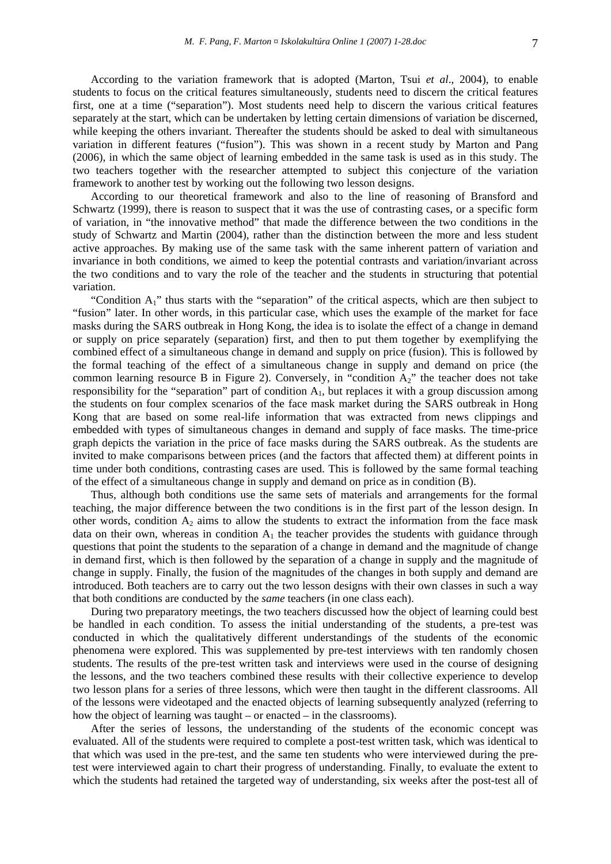According to the variation framework that is adopted (Marton, Tsui *et al*., 2004), to enable students to focus on the critical features simultaneously, students need to discern the critical features first, one at a time ("separation"). Most students need help to discern the various critical features separately at the start, which can be undertaken by letting certain dimensions of variation be discerned, while keeping the others invariant. Thereafter the students should be asked to deal with simultaneous variation in different features ("fusion"). This was shown in a recent study by Marton and Pang (2006), in which the same object of learning embedded in the same task is used as in this study. The two teachers together with the researcher attempted to subject this conjecture of the variation framework to another test by working out the following two lesson designs.

According to our theoretical framework and also to the line of reasoning of Bransford and Schwartz (1999), there is reason to suspect that it was the use of contrasting cases, or a specific form of variation, in "the innovative method" that made the difference between the two conditions in the study of Schwartz and Martin (2004), rather than the distinction between the more and less student active approaches. By making use of the same task with the same inherent pattern of variation and invariance in both conditions, we aimed to keep the potential contrasts and variation/invariant across the two conditions and to vary the role of the teacher and the students in structuring that potential variation.

"Condition A1" thus starts with the "separation" of the critical aspects, which are then subject to "fusion" later. In other words, in this particular case, which uses the example of the market for face masks during the SARS outbreak in Hong Kong, the idea is to isolate the effect of a change in demand or supply on price separately (separation) first, and then to put them together by exemplifying the combined effect of a simultaneous change in demand and supply on price (fusion). This is followed by the formal teaching of the effect of a simultaneous change in supply and demand on price (the common learning resource B in Figure 2). Conversely, in "condition A2" the teacher does not take responsibility for the "separation" part of condition  $A<sub>1</sub>$ , but replaces it with a group discussion among the students on four complex scenarios of the face mask market during the SARS outbreak in Hong Kong that are based on some real-life information that was extracted from news clippings and embedded with types of simultaneous changes in demand and supply of face masks. The time-price graph depicts the variation in the price of face masks during the SARS outbreak. As the students are invited to make comparisons between prices (and the factors that affected them) at different points in time under both conditions, contrasting cases are used. This is followed by the same formal teaching of the effect of a simultaneous change in supply and demand on price as in condition (B).

Thus, although both conditions use the same sets of materials and arrangements for the formal teaching, the major difference between the two conditions is in the first part of the lesson design. In other words, condition  $A_2$  aims to allow the students to extract the information from the face mask data on their own, whereas in condition  $A_1$  the teacher provides the students with guidance through questions that point the students to the separation of a change in demand and the magnitude of change in demand first, which is then followed by the separation of a change in supply and the magnitude of change in supply. Finally, the fusion of the magnitudes of the changes in both supply and demand are introduced. Both teachers are to carry out the two lesson designs with their own classes in such a way that both conditions are conducted by the *same* teachers (in one class each).

During two preparatory meetings, the two teachers discussed how the object of learning could best be handled in each condition. To assess the initial understanding of the students, a pre-test was conducted in which the qualitatively different understandings of the students of the economic phenomena were explored. This was supplemented by pre-test interviews with ten randomly chosen students. The results of the pre-test written task and interviews were used in the course of designing the lessons, and the two teachers combined these results with their collective experience to develop two lesson plans for a series of three lessons, which were then taught in the different classrooms. All of the lessons were videotaped and the enacted objects of learning subsequently analyzed (referring to how the object of learning was taught – or enacted – in the classrooms).

After the series of lessons, the understanding of the students of the economic concept was evaluated. All of the students were required to complete a post-test written task, which was identical to that which was used in the pre-test, and the same ten students who were interviewed during the pretest were interviewed again to chart their progress of understanding. Finally, to evaluate the extent to which the students had retained the targeted way of understanding, six weeks after the post-test all of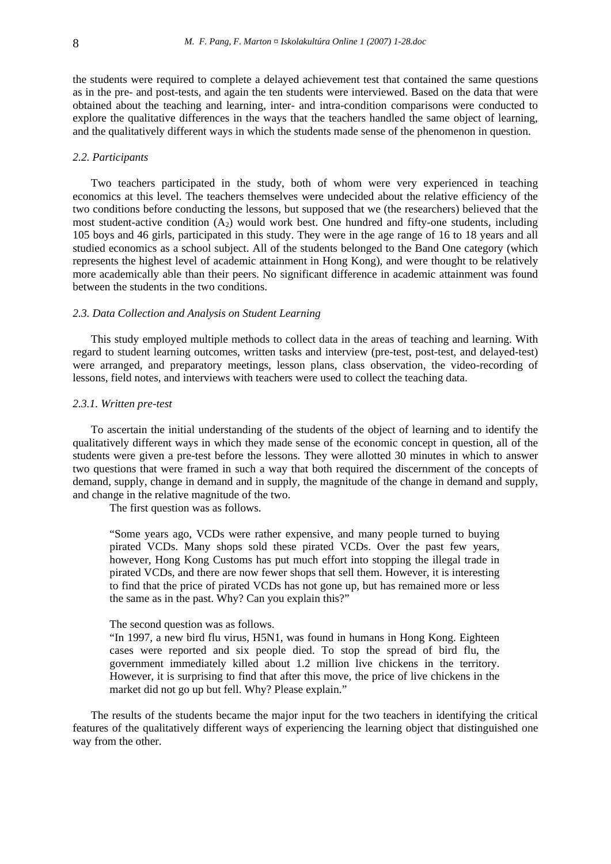the students were required to complete a delayed achievement test that contained the same questions as in the pre- and post-tests, and again the ten students were interviewed. Based on the data that were obtained about the teaching and learning, inter- and intra-condition comparisons were conducted to explore the qualitative differences in the ways that the teachers handled the same object of learning, and the qualitatively different ways in which the students made sense of the phenomenon in question.

## *2.2. Participants*

Two teachers participated in the study, both of whom were very experienced in teaching economics at this level. The teachers themselves were undecided about the relative efficiency of the two conditions before conducting the lessons, but supposed that we (the researchers) believed that the most student-active condition  $(A_2)$  would work best. One hundred and fifty-one students, including 105 boys and 46 girls, participated in this study. They were in the age range of 16 to 18 years and all studied economics as a school subject. All of the students belonged to the Band One category (which represents the highest level of academic attainment in Hong Kong), and were thought to be relatively more academically able than their peers. No significant difference in academic attainment was found between the students in the two conditions.

# *2.3. Data Collection and Analysis on Student Learning*

This study employed multiple methods to collect data in the areas of teaching and learning. With regard to student learning outcomes, written tasks and interview (pre-test, post-test, and delayed-test) were arranged, and preparatory meetings, lesson plans, class observation, the video-recording of lessons, field notes, and interviews with teachers were used to collect the teaching data.

#### *2.3.1. Written pre-test*

To ascertain the initial understanding of the students of the object of learning and to identify the qualitatively different ways in which they made sense of the economic concept in question, all of the students were given a pre-test before the lessons. They were allotted 30 minutes in which to answer two questions that were framed in such a way that both required the discernment of the concepts of demand, supply, change in demand and in supply, the magnitude of the change in demand and supply, and change in the relative magnitude of the two.

The first question was as follows.

"Some years ago, VCDs were rather expensive, and many people turned to buying pirated VCDs. Many shops sold these pirated VCDs. Over the past few years, however, Hong Kong Customs has put much effort into stopping the illegal trade in pirated VCDs, and there are now fewer shops that sell them. However, it is interesting to find that the price of pirated VCDs has not gone up, but has remained more or less the same as in the past. Why? Can you explain this?"

# The second question was as follows.

"In 1997, a new bird flu virus, H5N1, was found in humans in Hong Kong. Eighteen cases were reported and six people died. To stop the spread of bird flu, the government immediately killed about 1.2 million live chickens in the territory. However, it is surprising to find that after this move, the price of live chickens in the market did not go up but fell. Why? Please explain."

The results of the students became the major input for the two teachers in identifying the critical features of the qualitatively different ways of experiencing the learning object that distinguished one way from the other.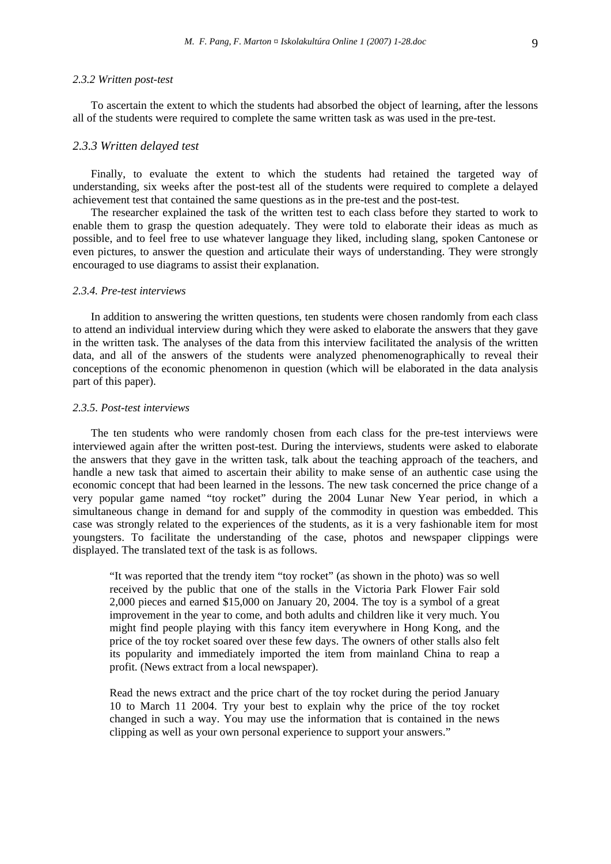# *2.3.2 Written post-test*

To ascertain the extent to which the students had absorbed the object of learning, after the lessons all of the students were required to complete the same written task as was used in the pre-test.

#### *2.3.3 Written delayed test*

Finally, to evaluate the extent to which the students had retained the targeted way of understanding, six weeks after the post-test all of the students were required to complete a delayed achievement test that contained the same questions as in the pre-test and the post-test.

The researcher explained the task of the written test to each class before they started to work to enable them to grasp the question adequately. They were told to elaborate their ideas as much as possible, and to feel free to use whatever language they liked, including slang, spoken Cantonese or even pictures, to answer the question and articulate their ways of understanding. They were strongly encouraged to use diagrams to assist their explanation.

#### *2.3.4. Pre-test interviews*

In addition to answering the written questions, ten students were chosen randomly from each class to attend an individual interview during which they were asked to elaborate the answers that they gave in the written task. The analyses of the data from this interview facilitated the analysis of the written data, and all of the answers of the students were analyzed phenomenographically to reveal their conceptions of the economic phenomenon in question (which will be elaborated in the data analysis part of this paper).

# *2.3.5. Post-test interviews*

The ten students who were randomly chosen from each class for the pre-test interviews were interviewed again after the written post-test. During the interviews, students were asked to elaborate the answers that they gave in the written task, talk about the teaching approach of the teachers, and handle a new task that aimed to ascertain their ability to make sense of an authentic case using the economic concept that had been learned in the lessons. The new task concerned the price change of a very popular game named "toy rocket" during the 2004 Lunar New Year period, in which a simultaneous change in demand for and supply of the commodity in question was embedded. This case was strongly related to the experiences of the students, as it is a very fashionable item for most youngsters. To facilitate the understanding of the case, photos and newspaper clippings were displayed. The translated text of the task is as follows.

"It was reported that the trendy item "toy rocket" (as shown in the photo) was so well received by the public that one of the stalls in the Victoria Park Flower Fair sold 2,000 pieces and earned \$15,000 on January 20, 2004. The toy is a symbol of a great improvement in the year to come, and both adults and children like it very much. You might find people playing with this fancy item everywhere in Hong Kong, and the price of the toy rocket soared over these few days. The owners of other stalls also felt its popularity and immediately imported the item from mainland China to reap a profit. (News extract from a local newspaper).

Read the news extract and the price chart of the toy rocket during the period January 10 to March 11 2004. Try your best to explain why the price of the toy rocket changed in such a way. You may use the information that is contained in the news clipping as well as your own personal experience to support your answers."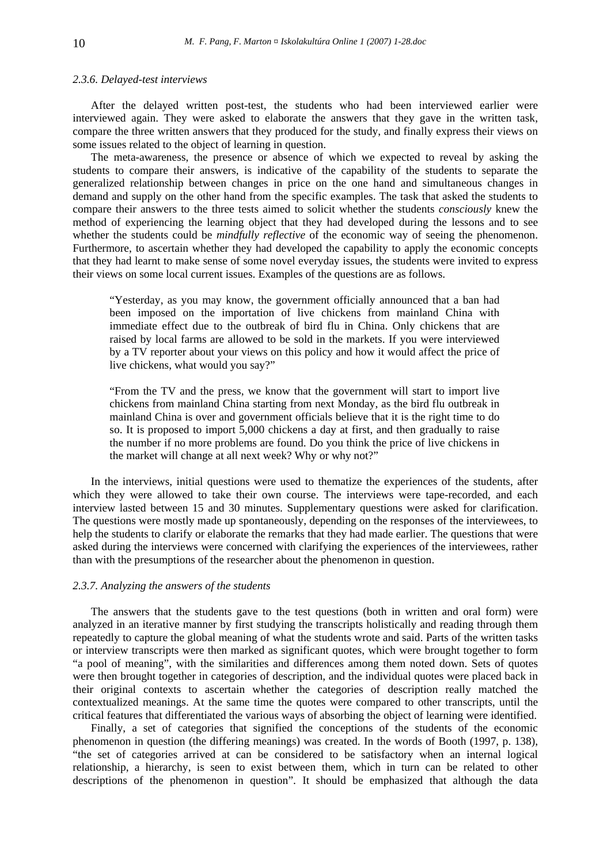## *2.3.6. Delayed-test interviews*

After the delayed written post-test, the students who had been interviewed earlier were interviewed again. They were asked to elaborate the answers that they gave in the written task, compare the three written answers that they produced for the study, and finally express their views on some issues related to the object of learning in question.

The meta-awareness, the presence or absence of which we expected to reveal by asking the students to compare their answers, is indicative of the capability of the students to separate the generalized relationship between changes in price on the one hand and simultaneous changes in demand and supply on the other hand from the specific examples. The task that asked the students to compare their answers to the three tests aimed to solicit whether the students *consciously* knew the method of experiencing the learning object that they had developed during the lessons and to see whether the students could be *mindfully reflective* of the economic way of seeing the phenomenon. Furthermore, to ascertain whether they had developed the capability to apply the economic concepts that they had learnt to make sense of some novel everyday issues, the students were invited to express their views on some local current issues. Examples of the questions are as follows.

"Yesterday, as you may know, the government officially announced that a ban had been imposed on the importation of live chickens from mainland China with immediate effect due to the outbreak of bird flu in China. Only chickens that are raised by local farms are allowed to be sold in the markets. If you were interviewed by a TV reporter about your views on this policy and how it would affect the price of live chickens, what would you say?"

"From the TV and the press, we know that the government will start to import live chickens from mainland China starting from next Monday, as the bird flu outbreak in mainland China is over and government officials believe that it is the right time to do so. It is proposed to import 5,000 chickens a day at first, and then gradually to raise the number if no more problems are found. Do you think the price of live chickens in the market will change at all next week? Why or why not?"

In the interviews, initial questions were used to thematize the experiences of the students, after which they were allowed to take their own course. The interviews were tape-recorded, and each interview lasted between 15 and 30 minutes. Supplementary questions were asked for clarification. The questions were mostly made up spontaneously, depending on the responses of the interviewees, to help the students to clarify or elaborate the remarks that they had made earlier. The questions that were asked during the interviews were concerned with clarifying the experiences of the interviewees, rather than with the presumptions of the researcher about the phenomenon in question.

#### *2.3.7. Analyzing the answers of the students*

The answers that the students gave to the test questions (both in written and oral form) were analyzed in an iterative manner by first studying the transcripts holistically and reading through them repeatedly to capture the global meaning of what the students wrote and said. Parts of the written tasks or interview transcripts were then marked as significant quotes, which were brought together to form "a pool of meaning", with the similarities and differences among them noted down. Sets of quotes were then brought together in categories of description, and the individual quotes were placed back in their original contexts to ascertain whether the categories of description really matched the contextualized meanings. At the same time the quotes were compared to other transcripts, until the critical features that differentiated the various ways of absorbing the object of learning were identified.

Finally, a set of categories that signified the conceptions of the students of the economic phenomenon in question (the differing meanings) was created. In the words of Booth (1997, p. 138), "the set of categories arrived at can be considered to be satisfactory when an internal logical relationship, a hierarchy, is seen to exist between them, which in turn can be related to other descriptions of the phenomenon in question". It should be emphasized that although the data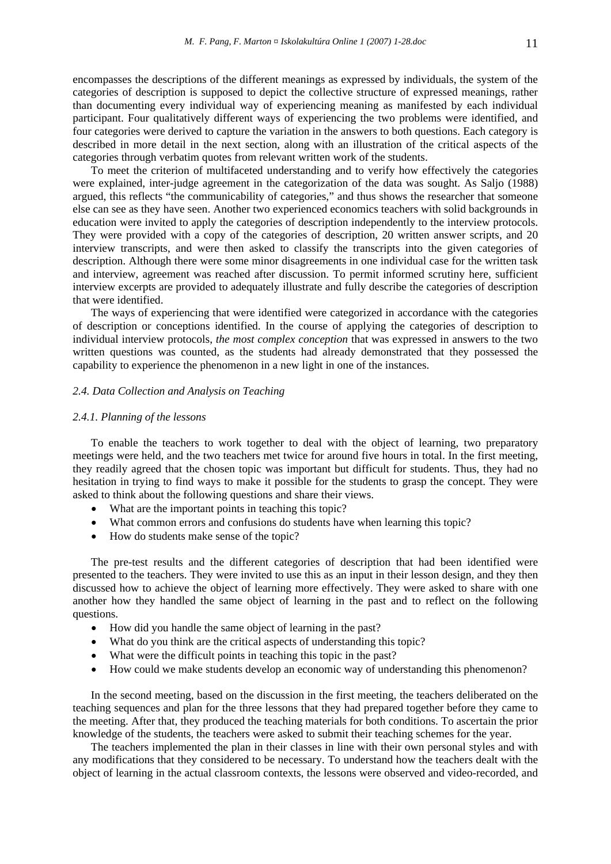encompasses the descriptions of the different meanings as expressed by individuals, the system of the categories of description is supposed to depict the collective structure of expressed meanings, rather than documenting every individual way of experiencing meaning as manifested by each individual participant. Four qualitatively different ways of experiencing the two problems were identified, and four categories were derived to capture the variation in the answers to both questions. Each category is described in more detail in the next section, along with an illustration of the critical aspects of the categories through verbatim quotes from relevant written work of the students.

To meet the criterion of multifaceted understanding and to verify how effectively the categories were explained, inter-judge agreement in the categorization of the data was sought. As Saljo (1988) argued, this reflects "the communicability of categories," and thus shows the researcher that someone else can see as they have seen. Another two experienced economics teachers with solid backgrounds in education were invited to apply the categories of description independently to the interview protocols. They were provided with a copy of the categories of description, 20 written answer scripts, and 20 interview transcripts, and were then asked to classify the transcripts into the given categories of description. Although there were some minor disagreements in one individual case for the written task and interview, agreement was reached after discussion. To permit informed scrutiny here, sufficient interview excerpts are provided to adequately illustrate and fully describe the categories of description that were identified.

The ways of experiencing that were identified were categorized in accordance with the categories of description or conceptions identified. In the course of applying the categories of description to individual interview protocols, *the most complex conception* that was expressed in answers to the two written questions was counted, as the students had already demonstrated that they possessed the capability to experience the phenomenon in a new light in one of the instances.

# *2.4. Data Collection and Analysis on Teaching*

#### *2.4.1. Planning of the lessons*

To enable the teachers to work together to deal with the object of learning, two preparatory meetings were held, and the two teachers met twice for around five hours in total. In the first meeting, they readily agreed that the chosen topic was important but difficult for students. Thus, they had no hesitation in trying to find ways to make it possible for the students to grasp the concept. They were asked to think about the following questions and share their views.

- What are the important points in teaching this topic?
- What common errors and confusions do students have when learning this topic?
- How do students make sense of the topic?

The pre-test results and the different categories of description that had been identified were presented to the teachers. They were invited to use this as an input in their lesson design, and they then discussed how to achieve the object of learning more effectively. They were asked to share with one another how they handled the same object of learning in the past and to reflect on the following questions.

- How did you handle the same object of learning in the past?
- What do you think are the critical aspects of understanding this topic?
- What were the difficult points in teaching this topic in the past?
- How could we make students develop an economic way of understanding this phenomenon?

In the second meeting, based on the discussion in the first meeting, the teachers deliberated on the teaching sequences and plan for the three lessons that they had prepared together before they came to the meeting. After that, they produced the teaching materials for both conditions. To ascertain the prior knowledge of the students, the teachers were asked to submit their teaching schemes for the year.

The teachers implemented the plan in their classes in line with their own personal styles and with any modifications that they considered to be necessary. To understand how the teachers dealt with the object of learning in the actual classroom contexts, the lessons were observed and video-recorded, and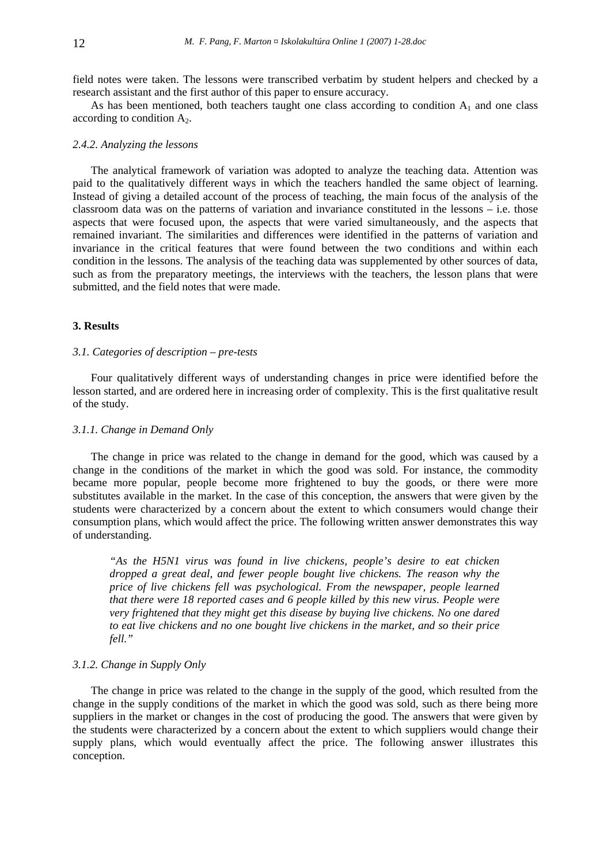field notes were taken. The lessons were transcribed verbatim by student helpers and checked by a research assistant and the first author of this paper to ensure accuracy.

As has been mentioned, both teachers taught one class according to condition  $A_1$  and one class according to condition  $A_2$ .

### *2.4.2. Analyzing the lessons*

The analytical framework of variation was adopted to analyze the teaching data. Attention was paid to the qualitatively different ways in which the teachers handled the same object of learning. Instead of giving a detailed account of the process of teaching, the main focus of the analysis of the classroom data was on the patterns of variation and invariance constituted in the lessons – i.e. those aspects that were focused upon, the aspects that were varied simultaneously, and the aspects that remained invariant. The similarities and differences were identified in the patterns of variation and invariance in the critical features that were found between the two conditions and within each condition in the lessons. The analysis of the teaching data was supplemented by other sources of data, such as from the preparatory meetings, the interviews with the teachers, the lesson plans that were submitted, and the field notes that were made.

#### **3. Results**

#### *3.1. Categories of description – pre-tests*

Four qualitatively different ways of understanding changes in price were identified before the lesson started, and are ordered here in increasing order of complexity. This is the first qualitative result of the study.

## *3.1.1. Change in Demand Only*

The change in price was related to the change in demand for the good, which was caused by a change in the conditions of the market in which the good was sold. For instance, the commodity became more popular, people become more frightened to buy the goods, or there were more substitutes available in the market. In the case of this conception, the answers that were given by the students were characterized by a concern about the extent to which consumers would change their consumption plans, which would affect the price. The following written answer demonstrates this way of understanding.

*"As the H5N1 virus was found in live chickens, people's desire to eat chicken dropped a great deal, and fewer people bought live chickens. The reason why the price of live chickens fell was psychological. From the newspaper, people learned that there were 18 reported cases and 6 people killed by this new virus. People were very frightened that they might get this disease by buying live chickens. No one dared to eat live chickens and no one bought live chickens in the market, and so their price fell."* 

### *3.1.2. Change in Supply Only*

The change in price was related to the change in the supply of the good, which resulted from the change in the supply conditions of the market in which the good was sold, such as there being more suppliers in the market or changes in the cost of producing the good. The answers that were given by the students were characterized by a concern about the extent to which suppliers would change their supply plans, which would eventually affect the price. The following answer illustrates this conception.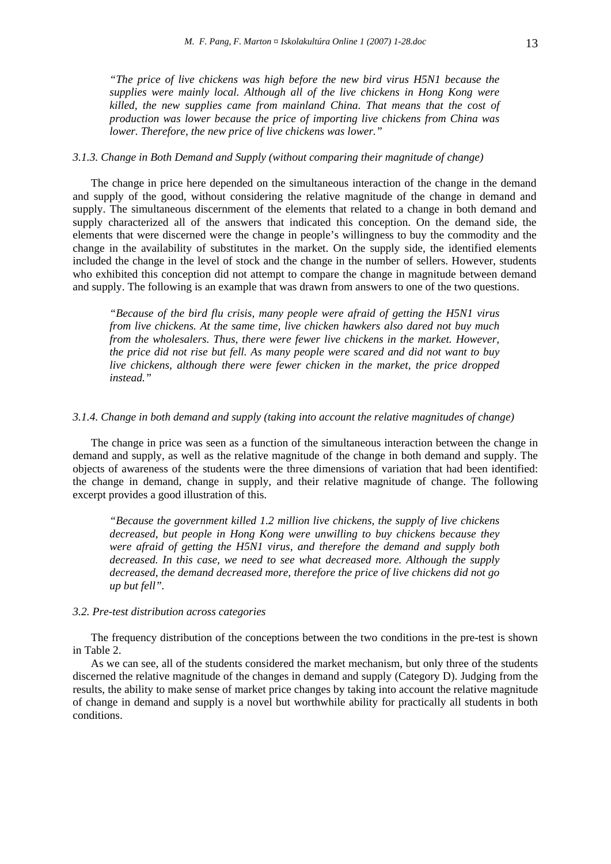*"The price of live chickens was high before the new bird virus H5N1 because the supplies were mainly local. Although all of the live chickens in Hong Kong were killed, the new supplies came from mainland China. That means that the cost of production was lower because the price of importing live chickens from China was lower. Therefore, the new price of live chickens was lower."* 

## *3.1.3. Change in Both Demand and Supply (without comparing their magnitude of change)*

The change in price here depended on the simultaneous interaction of the change in the demand and supply of the good, without considering the relative magnitude of the change in demand and supply. The simultaneous discernment of the elements that related to a change in both demand and supply characterized all of the answers that indicated this conception. On the demand side, the elements that were discerned were the change in people's willingness to buy the commodity and the change in the availability of substitutes in the market. On the supply side, the identified elements included the change in the level of stock and the change in the number of sellers. However, students who exhibited this conception did not attempt to compare the change in magnitude between demand and supply. The following is an example that was drawn from answers to one of the two questions.

*"Because of the bird flu crisis, many people were afraid of getting the H5N1 virus from live chickens. At the same time, live chicken hawkers also dared not buy much from the wholesalers. Thus, there were fewer live chickens in the market. However, the price did not rise but fell. As many people were scared and did not want to buy live chickens, although there were fewer chicken in the market, the price dropped instead."* 

#### *3.1.4. Change in both demand and supply (taking into account the relative magnitudes of change)*

The change in price was seen as a function of the simultaneous interaction between the change in demand and supply, as well as the relative magnitude of the change in both demand and supply. The objects of awareness of the students were the three dimensions of variation that had been identified: the change in demand, change in supply, and their relative magnitude of change. The following excerpt provides a good illustration of this.

*"Because the government killed 1.2 million live chickens, the supply of live chickens decreased, but people in Hong Kong were unwilling to buy chickens because they were afraid of getting the H5N1 virus, and therefore the demand and supply both decreased. In this case, we need to see what decreased more. Although the supply decreased, the demand decreased more, therefore the price of live chickens did not go up but fell".* 

#### *3.2. Pre-test distribution across categories*

The frequency distribution of the conceptions between the two conditions in the pre-test is shown in Table 2.

As we can see, all of the students considered the market mechanism, but only three of the students discerned the relative magnitude of the changes in demand and supply (Category D). Judging from the results, the ability to make sense of market price changes by taking into account the relative magnitude of change in demand and supply is a novel but worthwhile ability for practically all students in both conditions.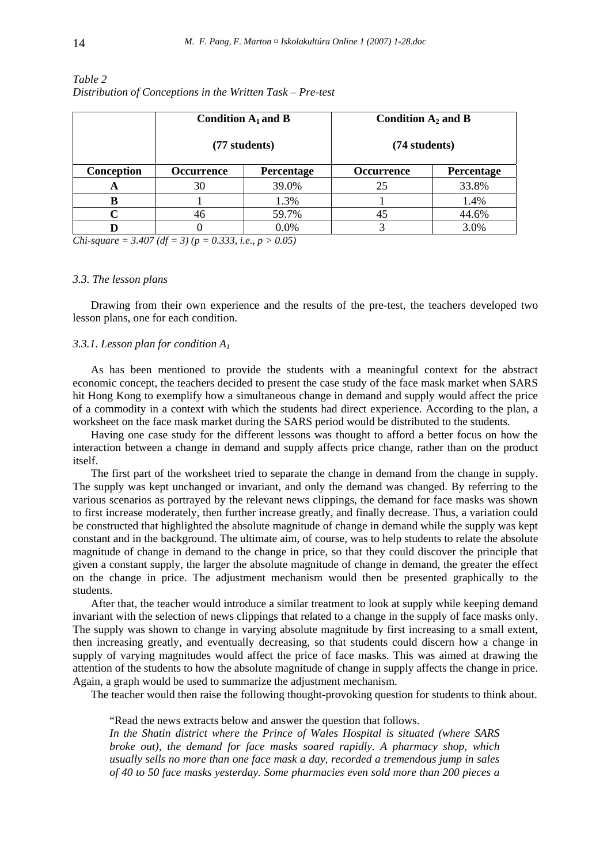|            | Condition $A_1$ and B<br>(77 students) |            | Condition $A_2$ and B<br>(74 students) |            |
|------------|----------------------------------------|------------|----------------------------------------|------------|
|            |                                        |            |                                        |            |
| Conception | <b>Occurrence</b>                      | Percentage | <b>Occurrence</b>                      | Percentage |
| A          | 30                                     | 39.0%      | 25                                     | 33.8%      |
|            |                                        | 1.3%       |                                        | 1.4%       |
|            | 46                                     | 59.7%      | 45                                     | 44.6%      |
|            |                                        | 0.0%       |                                        | 3.0%       |

# *Table 2 Distribution of Conceptions in the Written Task – Pre-test*

*Chi-square = 3.407 (df = 3) (p = 0.333, i.e., p > 0.05)* 

## *3.3. The lesson plans*

Drawing from their own experience and the results of the pre-test, the teachers developed two lesson plans, one for each condition.

## *3.3.1. Lesson plan for condition A1*

As has been mentioned to provide the students with a meaningful context for the abstract economic concept, the teachers decided to present the case study of the face mask market when SARS hit Hong Kong to exemplify how a simultaneous change in demand and supply would affect the price of a commodity in a context with which the students had direct experience. According to the plan, a worksheet on the face mask market during the SARS period would be distributed to the students.

Having one case study for the different lessons was thought to afford a better focus on how the interaction between a change in demand and supply affects price change, rather than on the product itself.

The first part of the worksheet tried to separate the change in demand from the change in supply. The supply was kept unchanged or invariant, and only the demand was changed. By referring to the various scenarios as portrayed by the relevant news clippings, the demand for face masks was shown to first increase moderately, then further increase greatly, and finally decrease. Thus, a variation could be constructed that highlighted the absolute magnitude of change in demand while the supply was kept constant and in the background. The ultimate aim, of course, was to help students to relate the absolute magnitude of change in demand to the change in price, so that they could discover the principle that given a constant supply, the larger the absolute magnitude of change in demand, the greater the effect on the change in price. The adjustment mechanism would then be presented graphically to the students.

After that, the teacher would introduce a similar treatment to look at supply while keeping demand invariant with the selection of news clippings that related to a change in the supply of face masks only. The supply was shown to change in varying absolute magnitude by first increasing to a small extent, then increasing greatly, and eventually decreasing, so that students could discern how a change in supply of varying magnitudes would affect the price of face masks. This was aimed at drawing the attention of the students to how the absolute magnitude of change in supply affects the change in price. Again, a graph would be used to summarize the adjustment mechanism.

The teacher would then raise the following thought-provoking question for students to think about.

"Read the news extracts below and answer the question that follows.

*In the Shatin district where the Prince of Wales Hospital is situated (where SARS broke out), the demand for face masks soared rapidly. A pharmacy shop, which usually sells no more than one face mask a day, recorded a tremendous jump in sales of 40 to 50 face masks yesterday. Some pharmacies even sold more than 200 pieces a*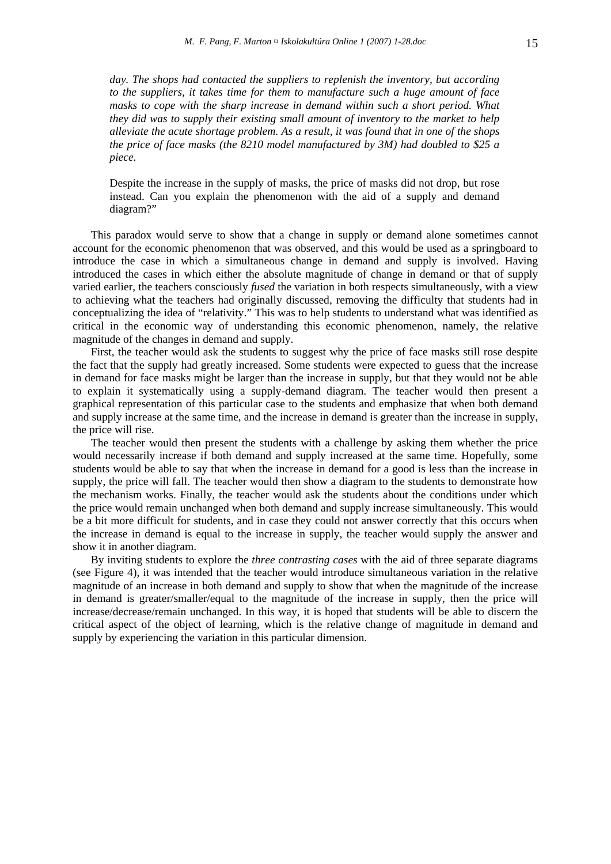day. The shops had contacted the suppliers to replenish the inventory, but according *to the suppliers, it takes time for them to manufacture such a huge amount of face masks to cope with the sharp increase in demand within such a short period. What they did was to supply their existing small amount of inventory to the market to help alleviate the acute shortage problem. As a result, it was found that in one of the shops the price of face masks (the 8210 model manufactured by 3M) had doubled to \$25 a piece.* 

Despite the increase in the supply of masks, the price of masks did not drop, but rose instead. Can you explain the phenomenon with the aid of a supply and demand diagram?"

This paradox would serve to show that a change in supply or demand alone sometimes cannot account for the economic phenomenon that was observed, and this would be used as a springboard to introduce the case in which a simultaneous change in demand and supply is involved. Having introduced the cases in which either the absolute magnitude of change in demand or that of supply varied earlier, the teachers consciously *fused* the variation in both respects simultaneously, with a view to achieving what the teachers had originally discussed, removing the difficulty that students had in conceptualizing the idea of "relativity." This was to help students to understand what was identified as critical in the economic way of understanding this economic phenomenon, namely, the relative magnitude of the changes in demand and supply.

First, the teacher would ask the students to suggest why the price of face masks still rose despite the fact that the supply had greatly increased. Some students were expected to guess that the increase in demand for face masks might be larger than the increase in supply, but that they would not be able to explain it systematically using a supply-demand diagram. The teacher would then present a graphical representation of this particular case to the students and emphasize that when both demand and supply increase at the same time, and the increase in demand is greater than the increase in supply, the price will rise.

The teacher would then present the students with a challenge by asking them whether the price would necessarily increase if both demand and supply increased at the same time. Hopefully, some students would be able to say that when the increase in demand for a good is less than the increase in supply, the price will fall. The teacher would then show a diagram to the students to demonstrate how the mechanism works. Finally, the teacher would ask the students about the conditions under which the price would remain unchanged when both demand and supply increase simultaneously. This would be a bit more difficult for students, and in case they could not answer correctly that this occurs when the increase in demand is equal to the increase in supply, the teacher would supply the answer and show it in another diagram.

By inviting students to explore the *three contrasting cases* with the aid of three separate diagrams (see Figure 4), it was intended that the teacher would introduce simultaneous variation in the relative magnitude of an increase in both demand and supply to show that when the magnitude of the increase in demand is greater/smaller/equal to the magnitude of the increase in supply, then the price will increase/decrease/remain unchanged. In this way, it is hoped that students will be able to discern the critical aspect of the object of learning, which is the relative change of magnitude in demand and supply by experiencing the variation in this particular dimension.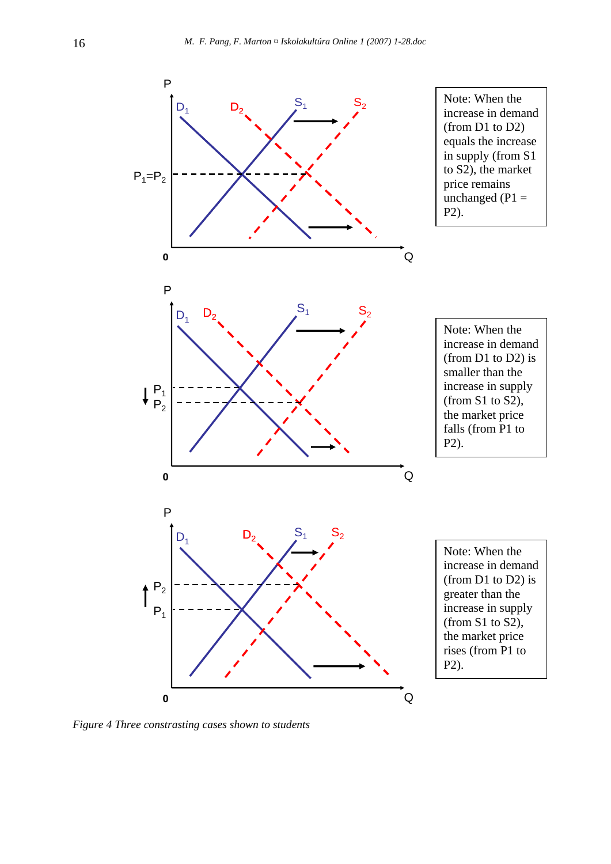

*Figure 4 Three constrasting cases shown to students*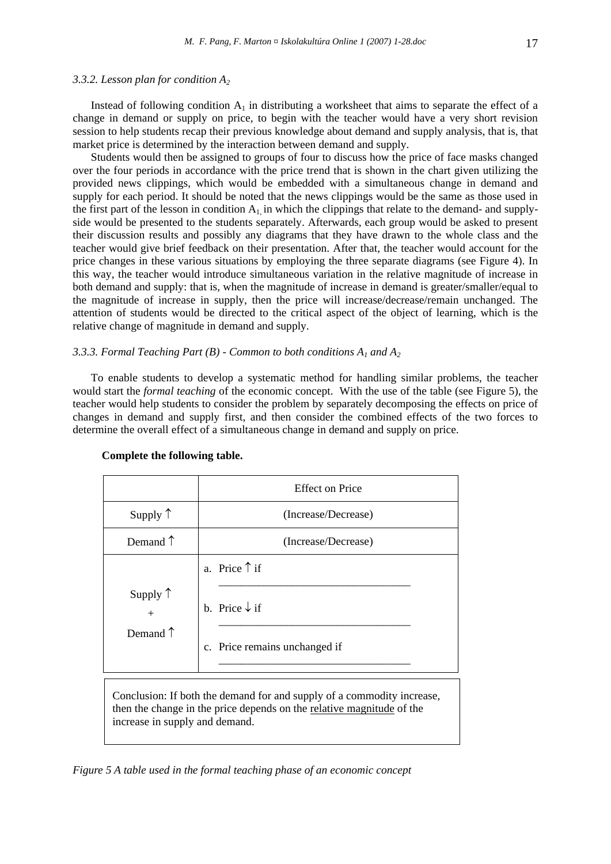Instead of following condition  $A_1$  in distributing a worksheet that aims to separate the effect of a change in demand or supply on price, to begin with the teacher would have a very short revision session to help students recap their previous knowledge about demand and supply analysis, that is, that market price is determined by the interaction between demand and supply.

Students would then be assigned to groups of four to discuss how the price of face masks changed over the four periods in accordance with the price trend that is shown in the chart given utilizing the provided news clippings, which would be embedded with a simultaneous change in demand and supply for each period. It should be noted that the news clippings would be the same as those used in the first part of the lesson in condition  $A_1$  in which the clippings that relate to the demand- and supplyside would be presented to the students separately. Afterwards, each group would be asked to present their discussion results and possibly any diagrams that they have drawn to the whole class and the teacher would give brief feedback on their presentation. After that, the teacher would account for the price changes in these various situations by employing the three separate diagrams (see Figure 4). In this way, the teacher would introduce simultaneous variation in the relative magnitude of increase in both demand and supply: that is, when the magnitude of increase in demand is greater/smaller/equal to the magnitude of increase in supply, then the price will increase/decrease/remain unchanged. The attention of students would be directed to the critical aspect of the object of learning, which is the relative change of magnitude in demand and supply.

# *3.3.3. Formal Teaching Part (B) - Common to both conditions A1 and A2*

To enable students to develop a systematic method for handling similar problems, the teacher would start the *formal teaching* of the economic concept. With the use of the table (see Figure 5), the teacher would help students to consider the problem by separately decomposing the effects on price of changes in demand and supply first, and then consider the combined effects of the two forces to determine the overall effect of a simultaneous change in demand and supply on price.

|                                               | <b>Effect on Price</b>                                                              |
|-----------------------------------------------|-------------------------------------------------------------------------------------|
| Supply $\uparrow$                             | (Increase/Decrease)                                                                 |
| Demand $\uparrow$                             | (Increase/Decrease)                                                                 |
| Supply $\uparrow$<br>$+$<br>Demand $\uparrow$ | a. Price $\uparrow$ if<br>b. Price $\downarrow$ if<br>c. Price remains unchanged if |

#### **Complete the following table.**

Conclusion: If both the demand for and supply of a commodity increase, then the change in the price depends on the relative magnitude of the increase in supply and demand.

*Figure 5 A table used in the formal teaching phase of an economic concept*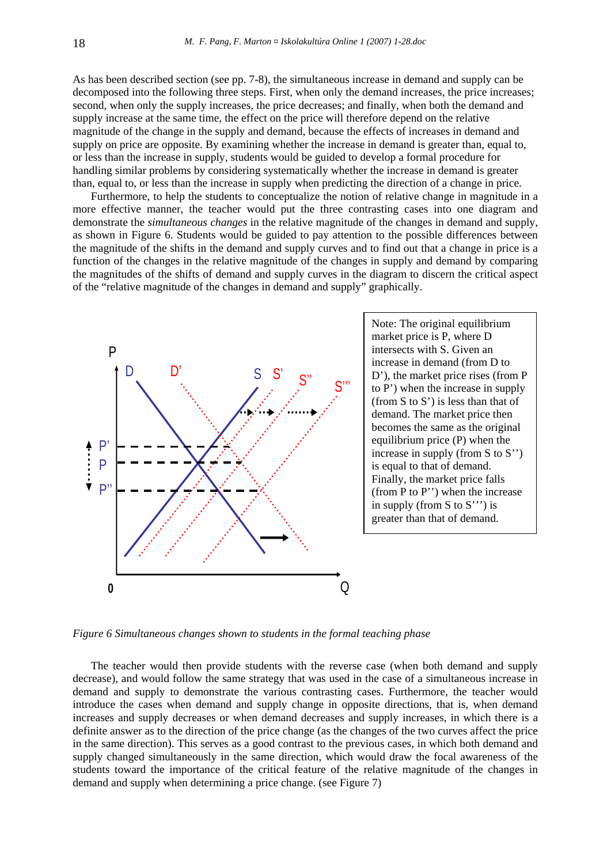As has been described section (see pp. 7-8), the simultaneous increase in demand and supply can be decomposed into the following three steps. First, when only the demand increases, the price increases; second, when only the supply increases, the price decreases; and finally, when both the demand and supply increase at the same time, the effect on the price will therefore depend on the relative magnitude of the change in the supply and demand, because the effects of increases in demand and supply on price are opposite. By examining whether the increase in demand is greater than, equal to, or less than the increase in supply, students would be guided to develop a formal procedure for handling similar problems by considering systematically whether the increase in demand is greater than, equal to, or less than the increase in supply when predicting the direction of a change in price.

Furthermore, to help the students to conceptualize the notion of relative change in magnitude in a more effective manner, the teacher would put the three contrasting cases into one diagram and demonstrate the *simultaneous changes* in the relative magnitude of the changes in demand and supply, as shown in Figure 6. Students would be guided to pay attention to the possible differences between the magnitude of the shifts in the demand and supply curves and to find out that a change in price is a function of the changes in the relative magnitude of the changes in supply and demand by comparing the magnitudes of the shifts of demand and supply curves in the diagram to discern the critical aspect of the "relative magnitude of the changes in demand and supply" graphically.



Note: The original equilibrium market price is P, where D intersects with S. Given an increase in demand (from D to D'), the market price rises (from P to P') when the increase in supply (from S to S') is less than that of demand. The market price then becomes the same as the original equilibrium price (P) when the increase in supply (from S to S'') is equal to that of demand. Finally, the market price falls (from P to P'') when the increase in supply (from S to S''') is greater than that of demand.

*Figure 6 Simultaneous changes shown to students in the formal teaching phase* 

The teacher would then provide students with the reverse case (when both demand and supply decrease), and would follow the same strategy that was used in the case of a simultaneous increase in demand and supply to demonstrate the various contrasting cases. Furthermore, the teacher would introduce the cases when demand and supply change in opposite directions, that is, when demand increases and supply decreases or when demand decreases and supply increases, in which there is a definite answer as to the direction of the price change (as the changes of the two curves affect the price in the same direction). This serves as a good contrast to the previous cases, in which both demand and supply changed simultaneously in the same direction, which would draw the focal awareness of the students toward the importance of the critical feature of the relative magnitude of the changes in demand and supply when determining a price change. (see Figure 7)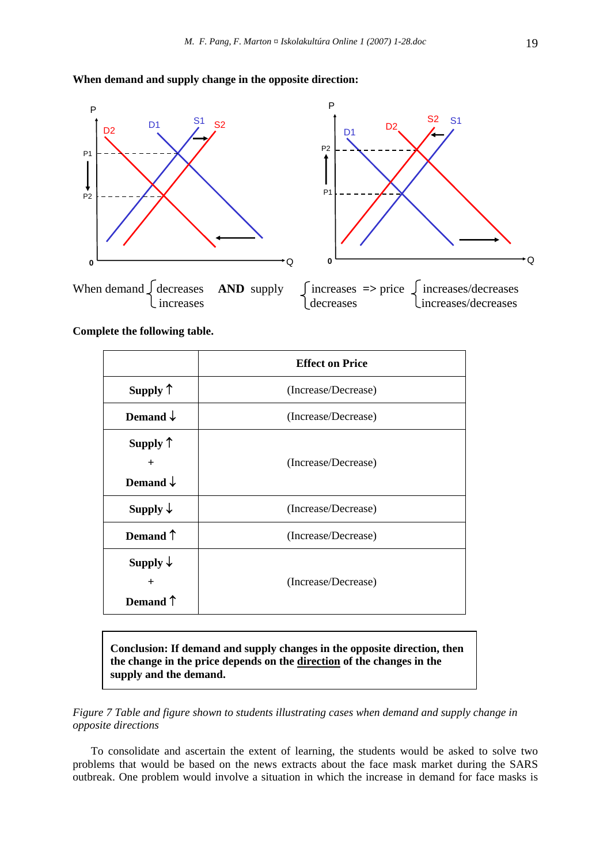# **When demand and supply change in the opposite direction:**



**Complete the following table.** 

|                     | <b>Effect on Price</b> |
|---------------------|------------------------|
| Supply $\uparrow$   | (Increase/Decrease)    |
| Demand $\downarrow$ | (Increase/Decrease)    |
| Supply $\uparrow$   |                        |
| $^{+}$              | (Increase/Decrease)    |
| Demand $\downarrow$ |                        |
| Supply $\downarrow$ | (Increase/Decrease)    |
| Demand $\uparrow$   | (Increase/Decrease)    |
| Supply $\downarrow$ |                        |
| $+$                 | (Increase/Decrease)    |
| Demand T            |                        |

**Conclusion: If demand and supply changes in the opposite direction, then the change in the price depends on the direction of the changes in the supply and the demand.** 

*Figure 7 Table and figure shown to students illustrating cases when demand and supply change in opposite directions* 

To consolidate and ascertain the extent of learning, the students would be asked to solve two problems that would be based on the news extracts about the face mask market during the SARS outbreak. One problem would involve a situation in which the increase in demand for face masks is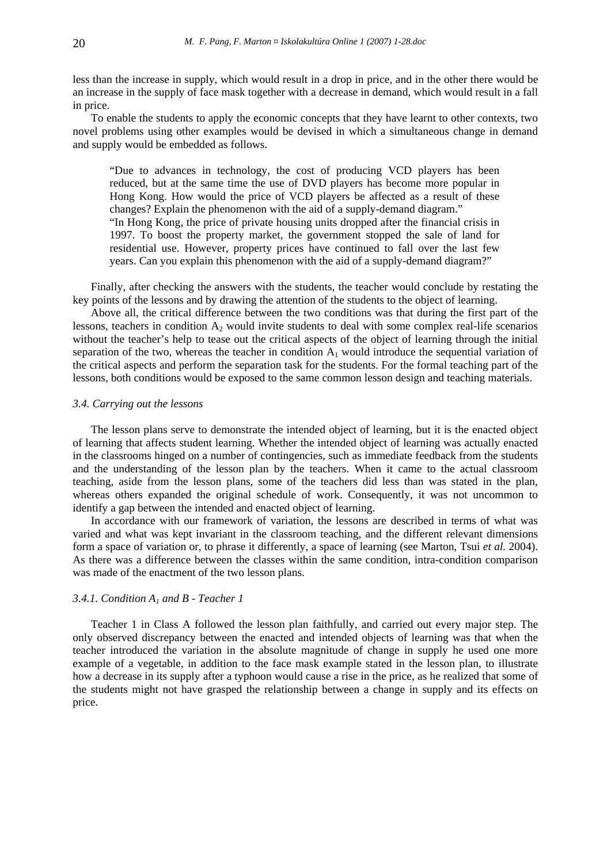less than the increase in supply, which would result in a drop in price, and in the other there would be an increase in the supply of face mask together with a decrease in demand, which would result in a fall in price.

To enable the students to apply the economic concepts that they have learnt to other contexts, two novel problems using other examples would be devised in which a simultaneous change in demand and supply would be embedded as follows.

"Due to advances in technology, the cost of producing VCD players has been reduced, but at the same time the use of DVD players has become more popular in Hong Kong. How would the price of VCD players be affected as a result of these changes? Explain the phenomenon with the aid of a supply-demand diagram."

"In Hong Kong, the price of private housing units dropped after the financial crisis in 1997. To boost the property market, the government stopped the sale of land for residential use. However, property prices have continued to fall over the last few years. Can you explain this phenomenon with the aid of a supply-demand diagram?"

Finally, after checking the answers with the students, the teacher would conclude by restating the key points of the lessons and by drawing the attention of the students to the object of learning.

Above all, the critical difference between the two conditions was that during the first part of the lessons, teachers in condition  $A_2$  would invite students to deal with some complex real-life scenarios without the teacher's help to tease out the critical aspects of the object of learning through the initial separation of the two, whereas the teacher in condition  $A_1$  would introduce the sequential variation of the critical aspects and perform the separation task for the students. For the formal teaching part of the lessons, both conditions would be exposed to the same common lesson design and teaching materials.

#### *3.4. Carrying out the lessons*

The lesson plans serve to demonstrate the intended object of learning, but it is the enacted object of learning that affects student learning*.* Whether the intended object of learning was actually enacted in the classrooms hinged on a number of contingencies, such as immediate feedback from the students and the understanding of the lesson plan by the teachers. When it came to the actual classroom teaching, aside from the lesson plans, some of the teachers did less than was stated in the plan, whereas others expanded the original schedule of work. Consequently, it was not uncommon to identify a gap between the intended and enacted object of learning.

In accordance with our framework of variation, the lessons are described in terms of what was varied and what was kept invariant in the classroom teaching, and the different relevant dimensions form a space of variation or, to phrase it differently, a space of learning (see Marton, Tsui *et al.* 2004). As there was a difference between the classes within the same condition, intra-condition comparison was made of the enactment of the two lesson plans.

# *3.4.1. Condition A1 and B - Teacher 1*

Teacher 1 in Class A followed the lesson plan faithfully, and carried out every major step. The only observed discrepancy between the enacted and intended objects of learning was that when the teacher introduced the variation in the absolute magnitude of change in supply he used one more example of a vegetable, in addition to the face mask example stated in the lesson plan, to illustrate how a decrease in its supply after a typhoon would cause a rise in the price, as he realized that some of the students might not have grasped the relationship between a change in supply and its effects on price.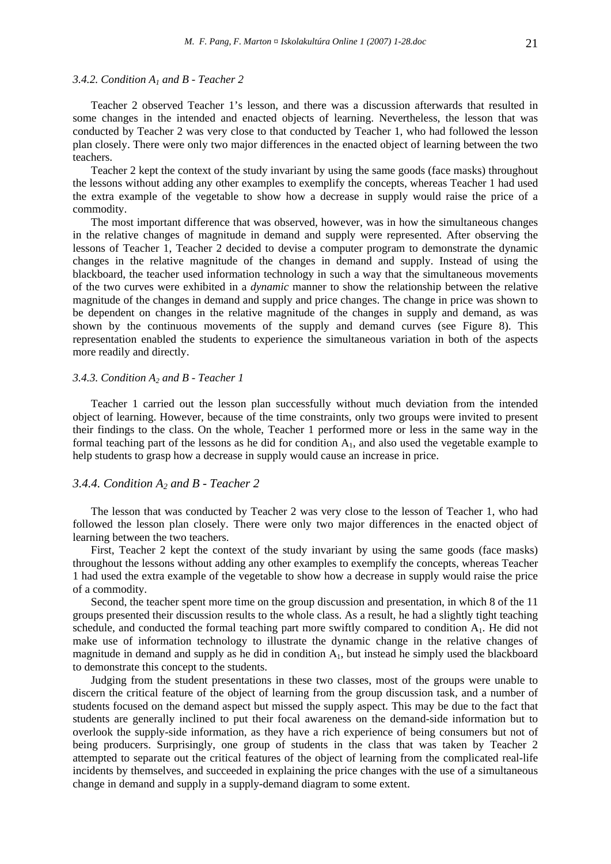#### *3.4.2. Condition A1 and B - Teacher 2*

Teacher 2 observed Teacher 1's lesson, and there was a discussion afterwards that resulted in some changes in the intended and enacted objects of learning. Nevertheless, the lesson that was conducted by Teacher 2 was very close to that conducted by Teacher 1, who had followed the lesson plan closely. There were only two major differences in the enacted object of learning between the two teachers.

Teacher 2 kept the context of the study invariant by using the same goods (face masks) throughout the lessons without adding any other examples to exemplify the concepts, whereas Teacher 1 had used the extra example of the vegetable to show how a decrease in supply would raise the price of a commodity.

The most important difference that was observed, however, was in how the simultaneous changes in the relative changes of magnitude in demand and supply were represented. After observing the lessons of Teacher 1, Teacher 2 decided to devise a computer program to demonstrate the dynamic changes in the relative magnitude of the changes in demand and supply. Instead of using the blackboard, the teacher used information technology in such a way that the simultaneous movements of the two curves were exhibited in a *dynamic* manner to show the relationship between the relative magnitude of the changes in demand and supply and price changes. The change in price was shown to be dependent on changes in the relative magnitude of the changes in supply and demand, as was shown by the continuous movements of the supply and demand curves (see Figure 8). This representation enabled the students to experience the simultaneous variation in both of the aspects more readily and directly.

## *3.4.3. Condition A2 and B - Teacher 1*

Teacher 1 carried out the lesson plan successfully without much deviation from the intended object of learning. However, because of the time constraints, only two groups were invited to present their findings to the class. On the whole, Teacher 1 performed more or less in the same way in the formal teaching part of the lessons as he did for condition  $A<sub>1</sub>$ , and also used the vegetable example to help students to grasp how a decrease in supply would cause an increase in price.

## *3.4.4. Condition A2 and B - Teacher 2*

The lesson that was conducted by Teacher 2 was very close to the lesson of Teacher 1, who had followed the lesson plan closely. There were only two major differences in the enacted object of learning between the two teachers.

First, Teacher 2 kept the context of the study invariant by using the same goods (face masks) throughout the lessons without adding any other examples to exemplify the concepts, whereas Teacher 1 had used the extra example of the vegetable to show how a decrease in supply would raise the price of a commodity.

Second, the teacher spent more time on the group discussion and presentation, in which 8 of the 11 groups presented their discussion results to the whole class. As a result, he had a slightly tight teaching schedule, and conducted the formal teaching part more swiftly compared to condition  $A<sub>1</sub>$ . He did not make use of information technology to illustrate the dynamic change in the relative changes of magnitude in demand and supply as he did in condition  $A<sub>1</sub>$ , but instead he simply used the blackboard to demonstrate this concept to the students.

Judging from the student presentations in these two classes, most of the groups were unable to discern the critical feature of the object of learning from the group discussion task, and a number of students focused on the demand aspect but missed the supply aspect. This may be due to the fact that students are generally inclined to put their focal awareness on the demand-side information but to overlook the supply-side information, as they have a rich experience of being consumers but not of being producers. Surprisingly, one group of students in the class that was taken by Teacher 2 attempted to separate out the critical features of the object of learning from the complicated real-life incidents by themselves, and succeeded in explaining the price changes with the use of a simultaneous change in demand and supply in a supply-demand diagram to some extent.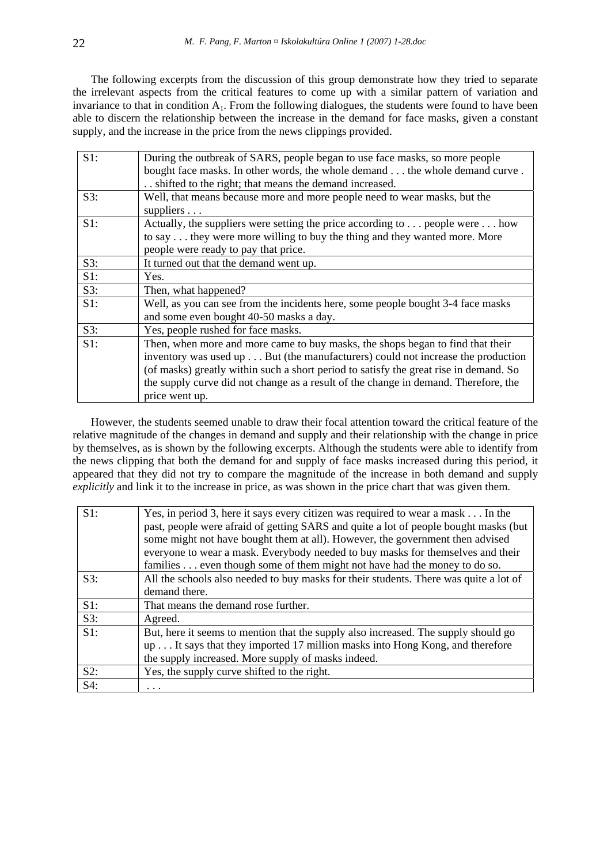The following excerpts from the discussion of this group demonstrate how they tried to separate the irrelevant aspects from the critical features to come up with a similar pattern of variation and invariance to that in condition  $A_1$ . From the following dialogues, the students were found to have been able to discern the relationship between the increase in the demand for face masks, given a constant supply, and the increase in the price from the news clippings provided.

| $S1$ : | During the outbreak of SARS, people began to use face masks, so more people           |
|--------|---------------------------------------------------------------------------------------|
|        | bought face masks. In other words, the whole demand the whole demand curve.           |
|        | shifted to the right; that means the demand increased.                                |
| S3:    | Well, that means because more and more people need to wear masks, but the             |
|        | suppliers $\ldots$                                                                    |
| $S1$ : | Actually, the suppliers were setting the price according to people were how           |
|        | to say they were more willing to buy the thing and they wanted more. More             |
|        | people were ready to pay that price.                                                  |
| S3:    | It turned out that the demand went up.                                                |
| $S1$ : | Yes.                                                                                  |
| S3:    | Then, what happened?                                                                  |
| $S1$ : | Well, as you can see from the incidents here, some people bought 3-4 face masks       |
|        | and some even bought 40-50 masks a day.                                               |
| S3:    | Yes, people rushed for face masks.                                                    |
| $S1$ : | Then, when more and more came to buy masks, the shops began to find that their        |
|        | inventory was used up But (the manufacturers) could not increase the production       |
|        | (of masks) greatly within such a short period to satisfy the great rise in demand. So |
|        | the supply curve did not change as a result of the change in demand. Therefore, the   |
|        | price went up.                                                                        |

However, the students seemed unable to draw their focal attention toward the critical feature of the relative magnitude of the changes in demand and supply and their relationship with the change in price by themselves, as is shown by the following excerpts. Although the students were able to identify from the news clipping that both the demand for and supply of face masks increased during this period, it appeared that they did not try to compare the magnitude of the increase in both demand and supply *explicitly* and link it to the increase in price, as was shown in the price chart that was given them.

| $S1$ : | Yes, in period 3, here it says every citizen was required to wear a mask In the       |
|--------|---------------------------------------------------------------------------------------|
|        | past, people were afraid of getting SARS and quite a lot of people bought masks (but  |
|        | some might not have bought them at all). However, the government then advised         |
|        | everyone to wear a mask. Everybody needed to buy masks for themselves and their       |
|        | families even though some of them might not have had the money to do so.              |
| S3:    | All the schools also needed to buy masks for their students. There was quite a lot of |
|        | demand there.                                                                         |
|        |                                                                                       |
| $S1$ : | That means the demand rose further.                                                   |
| $S3$ : | Agreed.                                                                               |
| $S1$ : | But, here it seems to mention that the supply also increased. The supply should go    |
|        | up It says that they imported 17 million masks into Hong Kong, and therefore          |
|        | the supply increased. More supply of masks indeed.                                    |
| S2:    | Yes, the supply curve shifted to the right.                                           |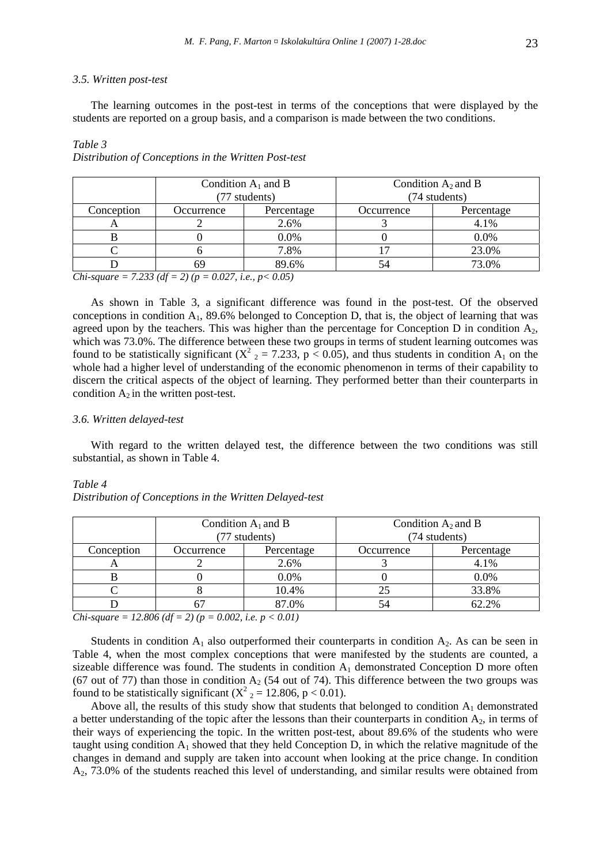#### *3.5. Written post-test*

The learning outcomes in the post-test in terms of the conceptions that were displayed by the students are reported on a group basis, and a comparison is made between the two conditions.

# *Table 3*

| Condition $A_1$ and B |            | Condition $A_2$ and B |            |
|-----------------------|------------|-----------------------|------------|
| (77 students)         |            | (74 students)         |            |
| Occurrence            | Percentage | Occurrence            | Percentage |
|                       | 2.6%       |                       | 4.1%       |
|                       | $0.0\%$    |                       | 0.0%       |
|                       | 7.8%       |                       | 23.0%      |
| 89.6%<br>69           |            | 54                    | 73.0%      |
|                       |            |                       |            |

*Distribution of Conceptions in the Written Post-test* 

*Chi-square = 7.233 (df = 2) (p = 0.027, i.e., p< 0.05)* 

As shown in Table 3, a significant difference was found in the post-test. Of the observed conceptions in condition  $A_1$ , 89.6% belonged to Conception D, that is, the object of learning that was agreed upon by the teachers. This was higher than the percentage for Conception  $D$  in condition  $A_2$ , which was 73.0%. The difference between these two groups in terms of student learning outcomes was found to be statistically significant ( $X^2$   $_2$  = 7.233, p < 0.05), and thus students in condition  $A_1$  on the whole had a higher level of understanding of the economic phenomenon in terms of their capability to discern the critical aspects of the object of learning. They performed better than their counterparts in condition  $A_2$  in the written post-test.

#### *3.6. Written delayed-test*

With regard to the written delayed test, the difference between the two conditions was still substantial, as shown in Table 4.

#### *Table 4*

| Distribution of Conceptions in the Written Delayed-test |  |  |
|---------------------------------------------------------|--|--|
|                                                         |  |  |

|            | Condition $A_1$ and B<br>(77 students) |            | Condition $A_2$ and B<br>(74 students) |            |
|------------|----------------------------------------|------------|----------------------------------------|------------|
| Conception | Occurrence                             | Percentage | Occurrence                             | Percentage |
| A          |                                        | 2.6%       |                                        | 4.1%       |
|            |                                        | 0.0%       |                                        | 0.0%       |
|            |                                        | 10.4%      | 25                                     | 33.8%      |
|            | 87.0%<br>O,                            |            | 54                                     | 62.2%      |

*Chi-square = 12.806 (df = 2) (p = 0.002, i.e. p < 0.01)* 

Students in condition  $A_1$  also outperformed their counterparts in condition  $A_2$ . As can be seen in Table 4, when the most complex conceptions that were manifested by the students are counted, a sizeable difference was found. The students in condition  $A_1$  demonstrated Conception D more often (67 out of 77) than those in condition  $A_2$  (54 out of 74). This difference between the two groups was found to be statistically significant ( $X^2$ <sub>2</sub> = 12.806, p < 0.01).

Above all, the results of this study show that students that belonged to condition  $A_1$  demonstrated a better understanding of the topic after the lessons than their counterparts in condition  $A_2$ , in terms of their ways of experiencing the topic. In the written post-test, about 89.6% of the students who were taught using condition  $A_1$  showed that they held Conception D, in which the relative magnitude of the changes in demand and supply are taken into account when looking at the price change. In condition A2, 73.0% of the students reached this level of understanding, and similar results were obtained from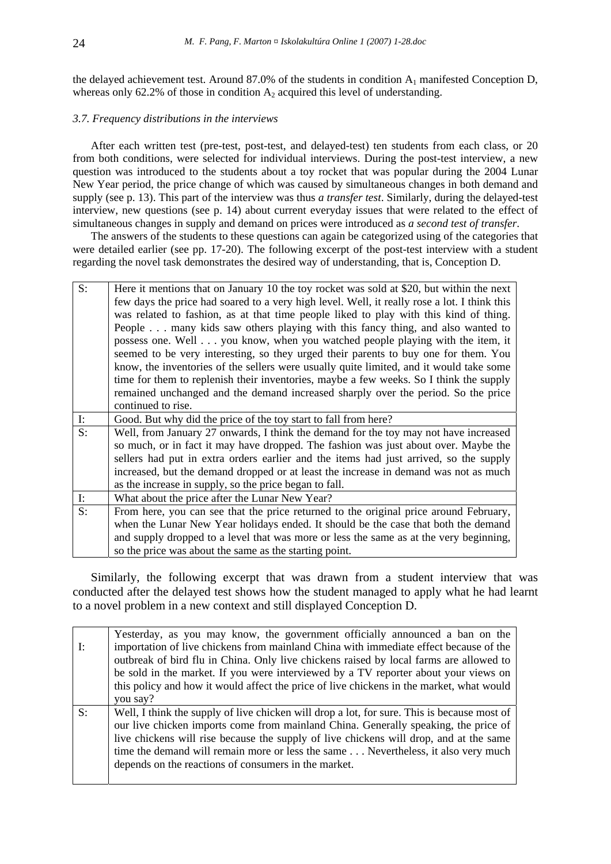the delayed achievement test. Around 87.0% of the students in condition  $A_1$  manifested Conception D, whereas only 62.2% of those in condition  $A_2$  acquired this level of understanding.

# *3.7. Frequency distributions in the interviews*

After each written test (pre-test, post-test, and delayed-test) ten students from each class, or 20 from both conditions, were selected for individual interviews. During the post-test interview, a new question was introduced to the students about a toy rocket that was popular during the 2004 Lunar New Year period, the price change of which was caused by simultaneous changes in both demand and supply (see p. 13). This part of the interview was thus *a transfer test*. Similarly, during the delayed-test interview, new questions (see p. 14) about current everyday issues that were related to the effect of simultaneous changes in supply and demand on prices were introduced as *a second test of transfer*.

The answers of the students to these questions can again be categorized using of the categories that were detailed earlier (see pp. 17-20). The following excerpt of the post-test interview with a student regarding the novel task demonstrates the desired way of understanding, that is, Conception D.

| $S$ :          | Here it mentions that on January 10 the toy rocket was sold at \$20, but within the next     |
|----------------|----------------------------------------------------------------------------------------------|
|                | few days the price had soared to a very high level. Well, it really rose a lot. I think this |
|                |                                                                                              |
|                | was related to fashion, as at that time people liked to play with this kind of thing.        |
|                | People many kids saw others playing with this fancy thing, and also wanted to                |
|                | possess one. Well you know, when you watched people playing with the item, it                |
|                | seemed to be very interesting, so they urged their parents to buy one for them. You          |
|                | know, the inventories of the sellers were usually quite limited, and it would take some      |
|                | time for them to replenish their inventories, maybe a few weeks. So I think the supply       |
|                | remained unchanged and the demand increased sharply over the period. So the price            |
|                | continued to rise.                                                                           |
| $\mathbf{I}$ : | Good. But why did the price of the toy start to fall from here?                              |
| S:             | Well, from January 27 onwards, I think the demand for the toy may not have increased         |
|                | so much, or in fact it may have dropped. The fashion was just about over. Maybe the          |
|                | sellers had put in extra orders earlier and the items had just arrived, so the supply        |
|                | increased, but the demand dropped or at least the increase in demand was not as much         |
|                | as the increase in supply, so the price began to fall.                                       |
| $\mathbf{I}$ : | What about the price after the Lunar New Year?                                               |
| S:             | From here, you can see that the price returned to the original price around February,        |
|                | when the Lunar New Year holidays ended. It should be the case that both the demand           |
|                | and supply dropped to a level that was more or less the same as at the very beginning,       |
|                | so the price was about the same as the starting point.                                       |

Similarly, the following excerpt that was drawn from a student interview that was conducted after the delayed test shows how the student managed to apply what he had learnt to a novel problem in a new context and still displayed Conception D.

|                | Yesterday, as you may know, the government officially announced a ban on the                |
|----------------|---------------------------------------------------------------------------------------------|
| $\mathbf{I}$ : | importation of live chickens from mainland China with immediate effect because of the       |
|                | outbreak of bird flu in China. Only live chickens raised by local farms are allowed to      |
|                | be sold in the market. If you were interviewed by a TV reporter about your views on         |
|                | this policy and how it would affect the price of live chickens in the market, what would    |
|                | you say?                                                                                    |
|                |                                                                                             |
| S:             | Well, I think the supply of live chicken will drop a lot, for sure. This is because most of |
|                | our live chicken imports come from mainland China. Generally speaking, the price of         |
|                | live chickens will rise because the supply of live chickens will drop, and at the same      |
|                | time the demand will remain more or less the same Nevertheless, it also very much           |
|                | depends on the reactions of consumers in the market.                                        |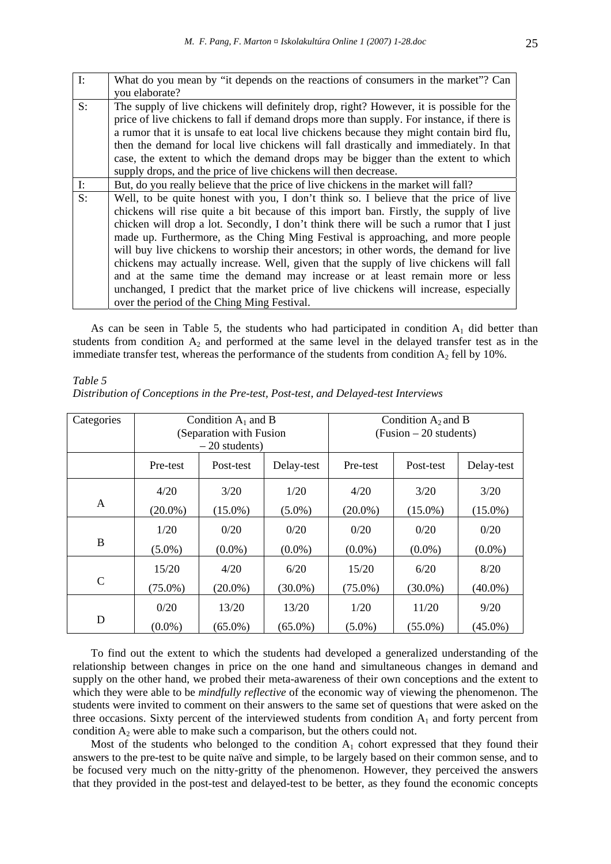| $\mathbf{I}$ : | What do you mean by "it depends on the reactions of consumers in the market"? Can<br>you elaborate?                                                                                                                                                                                                                                                                                                                                                                                                                                                                                                                                                                                                                                                                        |
|----------------|----------------------------------------------------------------------------------------------------------------------------------------------------------------------------------------------------------------------------------------------------------------------------------------------------------------------------------------------------------------------------------------------------------------------------------------------------------------------------------------------------------------------------------------------------------------------------------------------------------------------------------------------------------------------------------------------------------------------------------------------------------------------------|
| $S$ :          | The supply of live chickens will definitely drop, right? However, it is possible for the<br>price of live chickens to fall if demand drops more than supply. For instance, if there is<br>a rumor that it is unsafe to eat local live chickens because they might contain bird flu,                                                                                                                                                                                                                                                                                                                                                                                                                                                                                        |
|                | then the demand for local live chickens will fall drastically and immediately. In that                                                                                                                                                                                                                                                                                                                                                                                                                                                                                                                                                                                                                                                                                     |
|                | case, the extent to which the demand drops may be bigger than the extent to which<br>supply drops, and the price of live chickens will then decrease.                                                                                                                                                                                                                                                                                                                                                                                                                                                                                                                                                                                                                      |
| $\mathbf{I}$ : | But, do you really believe that the price of live chickens in the market will fall?                                                                                                                                                                                                                                                                                                                                                                                                                                                                                                                                                                                                                                                                                        |
| S:             | Well, to be quite honest with you, I don't think so. I believe that the price of live<br>chickens will rise quite a bit because of this import ban. Firstly, the supply of live<br>chicken will drop a lot. Secondly, I don't think there will be such a rumor that I just<br>made up. Furthermore, as the Ching Ming Festival is approaching, and more people<br>will buy live chickens to worship their ancestors; in other words, the demand for live<br>chickens may actually increase. Well, given that the supply of live chickens will fall<br>and at the same time the demand may increase or at least remain more or less<br>unchanged, I predict that the market price of live chickens will increase, especially<br>over the period of the Ching Ming Festival. |

As can be seen in Table 5, the students who had participated in condition  $A_1$  did better than students from condition  $A_2$  and performed at the same level in the delayed transfer test as in the immediate transfer test, whereas the performance of the students from condition  $A_2$  fell by 10%.

*Table 5* 

|  |  | Distribution of Conceptions in the Pre-test, Post-test, and Delayed-test Interviews |  |
|--|--|-------------------------------------------------------------------------------------|--|
|  |  |                                                                                     |  |

| Categories    | Condition $A_1$ and B   |            |            | Condition $A_2$ and B    |            |            |
|---------------|-------------------------|------------|------------|--------------------------|------------|------------|
|               | (Separation with Fusion |            |            | $(Fusion - 20 students)$ |            |            |
|               |                         |            |            |                          |            |            |
|               | $-20$ students)         |            |            |                          |            |            |
|               | Pre-test                | Post-test  | Delay-test | Pre-test                 | Post-test  | Delay-test |
|               |                         |            |            |                          |            |            |
|               | 4/20                    | 3/20       | 1/20       | 4/20                     | 3/20       | 3/20       |
| $\mathsf{A}$  | $(20.0\%)$              | $(15.0\%)$ | $(5.0\%)$  | $(20.0\%)$               | $(15.0\%)$ | $(15.0\%)$ |
|               | 1/20                    | 0/20       | 0/20       | 0/20                     | 0/20       | 0/20       |
| B             |                         |            |            |                          |            |            |
|               | $(5.0\%)$               | $(0.0\%)$  | $(0.0\%)$  | $(0.0\%)$                | $(0.0\%)$  | $(0.0\%)$  |
|               | 15/20                   | 4/20       | 6/20       | 15/20                    | 6/20       | 8/20       |
| $\mathcal{C}$ |                         |            |            |                          |            |            |
|               | $(75.0\%)$              | $(20.0\%)$ | $(30.0\%)$ | $(75.0\%)$               | $(30.0\%)$ | $(40.0\%)$ |
|               | 0/20                    | 13/20      | 13/20      | 1/20                     | 11/20      | 9/20       |
| D             | $(0.0\%)$               | $(65.0\%)$ | $(65.0\%)$ | $(5.0\%)$                | $(55.0\%)$ | $(45.0\%)$ |

To find out the extent to which the students had developed a generalized understanding of the relationship between changes in price on the one hand and simultaneous changes in demand and supply on the other hand, we probed their meta-awareness of their own conceptions and the extent to which they were able to be *mindfully reflective* of the economic way of viewing the phenomenon. The students were invited to comment on their answers to the same set of questions that were asked on the three occasions. Sixty percent of the interviewed students from condition  $A_1$  and forty percent from condition  $A_2$  were able to make such a comparison, but the others could not.

Most of the students who belonged to the condition  $A_1$  cohort expressed that they found their answers to the pre-test to be quite naïve and simple, to be largely based on their common sense, and to be focused very much on the nitty-gritty of the phenomenon. However, they perceived the answers that they provided in the post-test and delayed-test to be better, as they found the economic concepts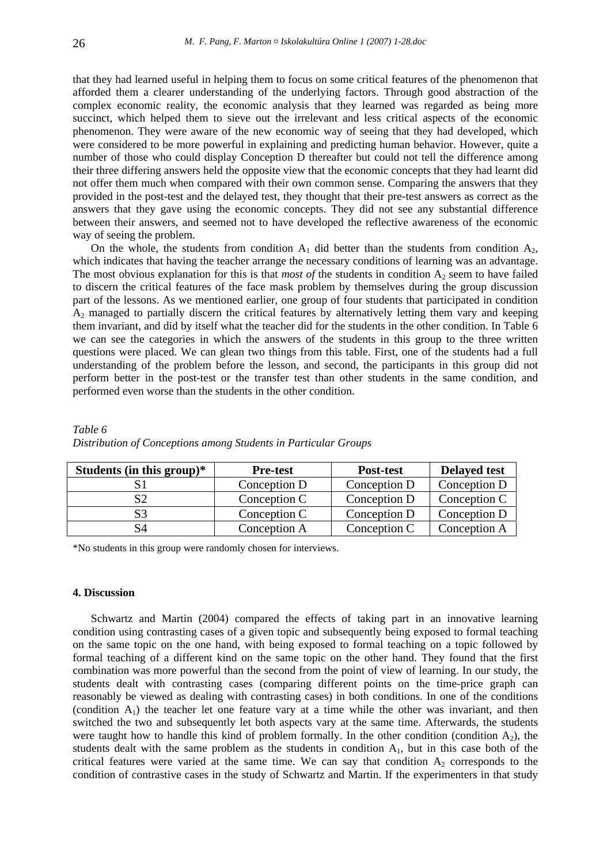that they had learned useful in helping them to focus on some critical features of the phenomenon that afforded them a clearer understanding of the underlying factors. Through good abstraction of the complex economic reality, the economic analysis that they learned was regarded as being more succinct, which helped them to sieve out the irrelevant and less critical aspects of the economic phenomenon. They were aware of the new economic way of seeing that they had developed, which were considered to be more powerful in explaining and predicting human behavior. However, quite a number of those who could display Conception D thereafter but could not tell the difference among their three differing answers held the opposite view that the economic concepts that they had learnt did not offer them much when compared with their own common sense. Comparing the answers that they provided in the post-test and the delayed test, they thought that their pre-test answers as correct as the answers that they gave using the economic concepts. They did not see any substantial difference between their answers, and seemed not to have developed the reflective awareness of the economic way of seeing the problem.

On the whole, the students from condition  $A_1$  did better than the students from condition  $A_2$ , which indicates that having the teacher arrange the necessary conditions of learning was an advantage. The most obvious explanation for this is that *most of* the students in condition  $A_2$  seem to have failed to discern the critical features of the face mask problem by themselves during the group discussion part of the lessons. As we mentioned earlier, one group of four students that participated in condition A2 managed to partially discern the critical features by alternatively letting them vary and keeping them invariant, and did by itself what the teacher did for the students in the other condition. In Table 6 we can see the categories in which the answers of the students in this group to the three written questions were placed. We can glean two things from this table. First, one of the students had a full understanding of the problem before the lesson, and second, the participants in this group did not perform better in the post-test or the transfer test than other students in the same condition, and performed even worse than the students in the other condition.

| Students (in this group) $*$ | <b>Pre-test</b> | Post-test    | <b>Delayed test</b> |
|------------------------------|-----------------|--------------|---------------------|
|                              | Conception D    | Conception D | Conception D        |
| S2                           | Conception C    | Conception D | Conception C        |
| S3                           | Conception C    | Conception D | Conception D        |
| S4                           | Conception A    | Conception C | Conception A        |

*Table 6 Distribution of Conceptions among Students in Particular Groups* 

\*No students in this group were randomly chosen for interviews.

#### **4. Discussion**

Schwartz and Martin (2004) compared the effects of taking part in an innovative learning condition using contrasting cases of a given topic and subsequently being exposed to formal teaching on the same topic on the one hand, with being exposed to formal teaching on a topic followed by formal teaching of a different kind on the same topic on the other hand. They found that the first combination was more powerful than the second from the point of view of learning. In our study, the students dealt with contrasting cases (comparing different points on the time-price graph can reasonably be viewed as dealing with contrasting cases) in both conditions. In one of the conditions (condition  $A_1$ ) the teacher let one feature vary at a time while the other was invariant, and then switched the two and subsequently let both aspects vary at the same time. Afterwards, the students were taught how to handle this kind of problem formally. In the other condition (condition  $A_2$ ), the students dealt with the same problem as the students in condition  $A<sub>1</sub>$ , but in this case both of the critical features were varied at the same time. We can say that condition  $A_2$  corresponds to the condition of contrastive cases in the study of Schwartz and Martin. If the experimenters in that study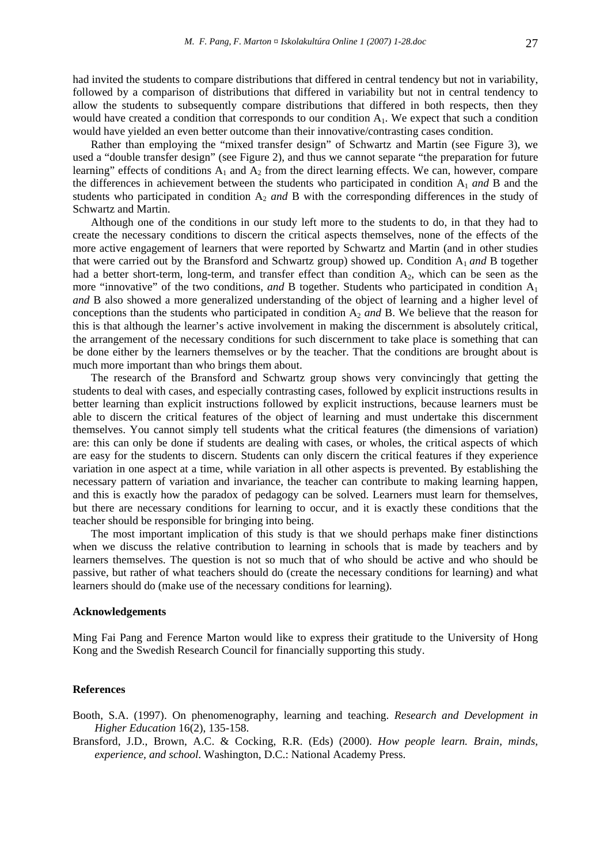had invited the students to compare distributions that differed in central tendency but not in variability, followed by a comparison of distributions that differed in variability but not in central tendency to allow the students to subsequently compare distributions that differed in both respects, then they would have created a condition that corresponds to our condition  $A<sub>1</sub>$ . We expect that such a condition would have yielded an even better outcome than their innovative/contrasting cases condition.

Rather than employing the "mixed transfer design" of Schwartz and Martin (see Figure 3), we used a "double transfer design" (see Figure 2), and thus we cannot separate "the preparation for future learning" effects of conditions  $A_1$  and  $A_2$  from the direct learning effects. We can, however, compare the differences in achievement between the students who participated in condition A1 *and* B and the students who participated in condition A<sub>2</sub> and B with the corresponding differences in the study of Schwartz and Martin.

Although one of the conditions in our study left more to the students to do, in that they had to create the necessary conditions to discern the critical aspects themselves, none of the effects of the more active engagement of learners that were reported by Schwartz and Martin (and in other studies that were carried out by the Bransford and Schwartz group) showed up. Condition A1 *and* B together had a better short-term, long-term, and transfer effect than condition A<sub>2</sub>, which can be seen as the more "innovative" of the two conditions, *and* B together. Students who participated in condition A1 *and* B also showed a more generalized understanding of the object of learning and a higher level of conceptions than the students who participated in condition A2 *and* B. We believe that the reason for this is that although the learner's active involvement in making the discernment is absolutely critical, the arrangement of the necessary conditions for such discernment to take place is something that can be done either by the learners themselves or by the teacher. That the conditions are brought about is much more important than who brings them about.

The research of the Bransford and Schwartz group shows very convincingly that getting the students to deal with cases, and especially contrasting cases, followed by explicit instructions results in better learning than explicit instructions followed by explicit instructions, because learners must be able to discern the critical features of the object of learning and must undertake this discernment themselves. You cannot simply tell students what the critical features (the dimensions of variation) are: this can only be done if students are dealing with cases, or wholes, the critical aspects of which are easy for the students to discern. Students can only discern the critical features if they experience variation in one aspect at a time, while variation in all other aspects is prevented. By establishing the necessary pattern of variation and invariance, the teacher can contribute to making learning happen, and this is exactly how the paradox of pedagogy can be solved. Learners must learn for themselves, but there are necessary conditions for learning to occur, and it is exactly these conditions that the teacher should be responsible for bringing into being.

The most important implication of this study is that we should perhaps make finer distinctions when we discuss the relative contribution to learning in schools that is made by teachers and by learners themselves. The question is not so much that of who should be active and who should be passive, but rather of what teachers should do (create the necessary conditions for learning) and what learners should do (make use of the necessary conditions for learning).

#### **Acknowledgements**

Ming Fai Pang and Ference Marton would like to express their gratitude to the University of Hong Kong and the Swedish Research Council for financially supporting this study.

#### **References**

- Booth, S.A. (1997). On phenomenography, learning and teaching. *Research and Development in Higher Education* 16(2), 135-158.
- Bransford, J.D., Brown, A.C. & Cocking, R.R. (Eds) (2000). *How people learn. Brain*, *minds, experience, and school*. Washington, D.C.: National Academy Press.